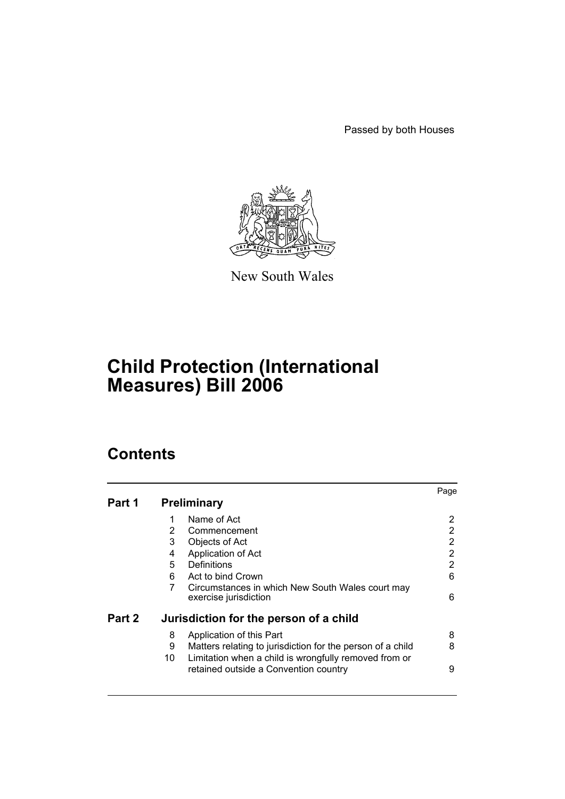Passed by both Houses



New South Wales

# **Child Protection (International Measures) Bill 2006**

# **Contents**

|        |      |                                                                           | Page |
|--------|------|---------------------------------------------------------------------------|------|
| Part 1 |      | <b>Preliminary</b>                                                        |      |
|        | 1    | Name of Act                                                               | 2    |
|        | 2    | Commencement                                                              | 2    |
|        | 3    | Objects of Act                                                            | 2    |
|        | 4    | Application of Act                                                        | 2    |
|        | 5    | Definitions                                                               | 2    |
|        | 6    | Act to bind Crown                                                         | 6    |
|        | 7    | Circumstances in which New South Wales court may<br>exercise jurisdiction | 6    |
| Part 2 |      | Jurisdiction for the person of a child                                    |      |
|        | 8    | Application of this Part                                                  | 8    |
|        | 9    | Matters relating to jurisdiction for the person of a child                | 8    |
|        | 10 - | Limitation when a child is wrongfully removed from or                     |      |
|        |      | retained outside a Convention country                                     | 9    |
|        |      |                                                                           |      |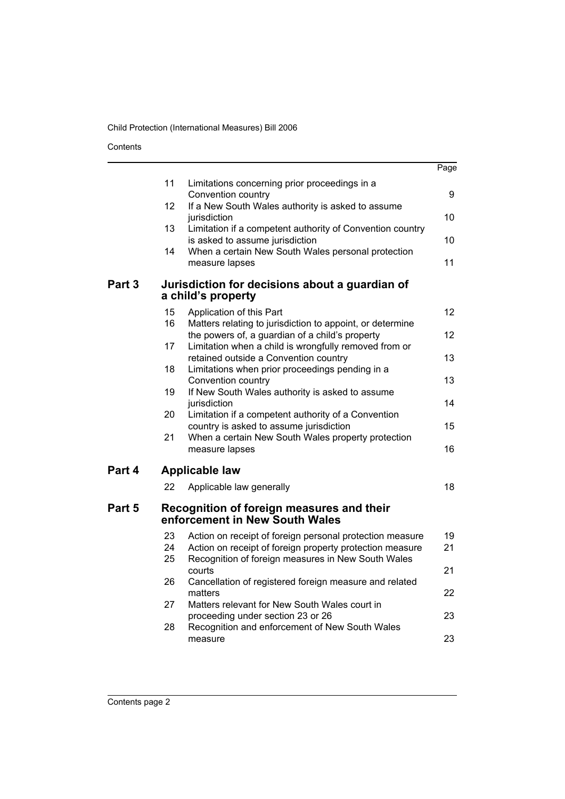Contents

|        |          |                                                                                                                      | Page     |
|--------|----------|----------------------------------------------------------------------------------------------------------------------|----------|
|        | 11       | Limitations concerning prior proceedings in a<br>Convention country                                                  | 9        |
|        | 12       | If a New South Wales authority is asked to assume<br>jurisdiction                                                    | 10       |
|        | 13       | Limitation if a competent authority of Convention country<br>is asked to assume jurisdiction                         | 10       |
|        | 14       | When a certain New South Wales personal protection<br>measure lapses                                                 | 11       |
| Part 3 |          | Jurisdiction for decisions about a guardian of<br>a child's property                                                 |          |
|        | 15<br>16 | Application of this Part<br>Matters relating to jurisdiction to appoint, or determine                                | 12       |
|        |          | the powers of, a guardian of a child's property                                                                      | 12       |
|        | 17       | Limitation when a child is wrongfully removed from or<br>retained outside a Convention country                       | 13       |
|        | 18       | Limitations when prior proceedings pending in a<br>Convention country                                                | 13       |
|        | 19       | If New South Wales authority is asked to assume<br>jurisdiction                                                      | 14       |
|        | 20       | Limitation if a competent authority of a Convention<br>country is asked to assume jurisdiction                       | 15       |
|        | 21       | When a certain New South Wales property protection<br>measure lapses                                                 | 16       |
| Part 4 |          | <b>Applicable law</b>                                                                                                |          |
|        | 22       | Applicable law generally                                                                                             | 18       |
| Part 5 |          | Recognition of foreign measures and their<br>enforcement in New South Wales                                          |          |
|        | 23<br>24 | Action on receipt of foreign personal protection measure<br>Action on receipt of foreign property protection measure | 19<br>21 |
|        | 25       | Recognition of foreign measures in New South Wales<br>courts                                                         | 21       |
|        | 26       | Cancellation of registered foreign measure and related<br>matters                                                    | 22       |
|        | 27       | Matters relevant for New South Wales court in<br>proceeding under section 23 or 26                                   | 23       |
|        | 28       | Recognition and enforcement of New South Wales<br>measure                                                            | 23       |
|        |          |                                                                                                                      |          |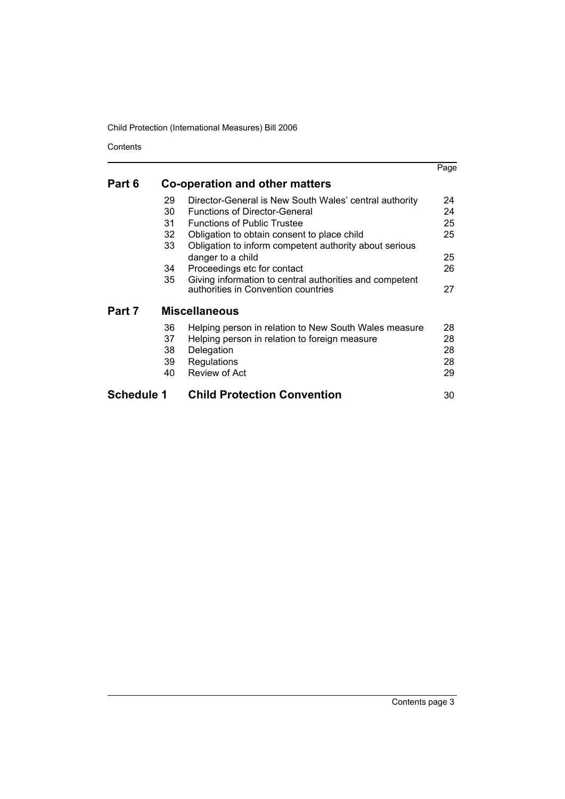Contents

|                   |    |                                                                                                | Page |
|-------------------|----|------------------------------------------------------------------------------------------------|------|
| Part 6            |    | Co-operation and other matters                                                                 |      |
|                   | 29 | Director-General is New South Wales' central authority                                         | 24   |
|                   | 30 | <b>Functions of Director-General</b>                                                           | 24   |
|                   | 31 | <b>Functions of Public Trustee</b>                                                             | 25   |
|                   | 32 | Obligation to obtain consent to place child                                                    | 25   |
|                   | 33 | Obligation to inform competent authority about serious                                         |      |
|                   |    | danger to a child                                                                              | 25   |
|                   | 34 | Proceedings etc for contact                                                                    | 26   |
|                   | 35 | Giving information to central authorities and competent<br>authorities in Convention countries | 27   |
| Part 7            |    | <b>Miscellaneous</b>                                                                           |      |
|                   | 36 | Helping person in relation to New South Wales measure                                          | 28   |
|                   | 37 | Helping person in relation to foreign measure                                                  | 28   |
|                   | 38 | Delegation                                                                                     | 28   |
|                   | 39 | Regulations                                                                                    | 28   |
|                   | 40 | Review of Act                                                                                  | 29   |
| <b>Schedule 1</b> |    | <b>Child Protection Convention</b>                                                             | 30   |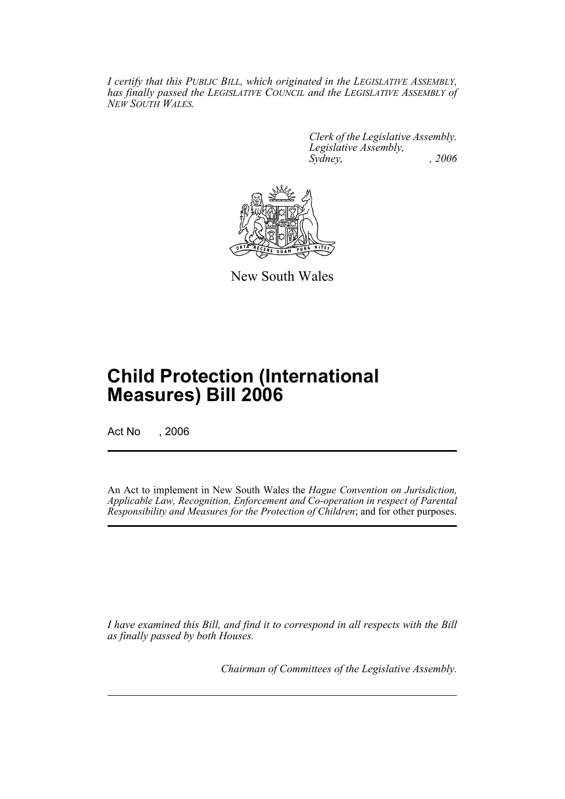*I certify that this PUBLIC BILL, which originated in the LEGISLATIVE ASSEMBLY, has finally passed the LEGISLATIVE COUNCIL and the LEGISLATIVE ASSEMBLY of NEW SOUTH WALES.*

> *Clerk of the Legislative Assembly. Legislative Assembly, Sydney, , 2006*



New South Wales

# **Child Protection (International Measures) Bill 2006**

Act No , 2006

An Act to implement in New South Wales the *Hague Convention on Jurisdiction, Applicable Law, Recognition, Enforcement and Co-operation in respect of Parental Responsibility and Measures for the Protection of Children*; and for other purposes.

*I have examined this Bill, and find it to correspond in all respects with the Bill as finally passed by both Houses.*

*Chairman of Committees of the Legislative Assembly.*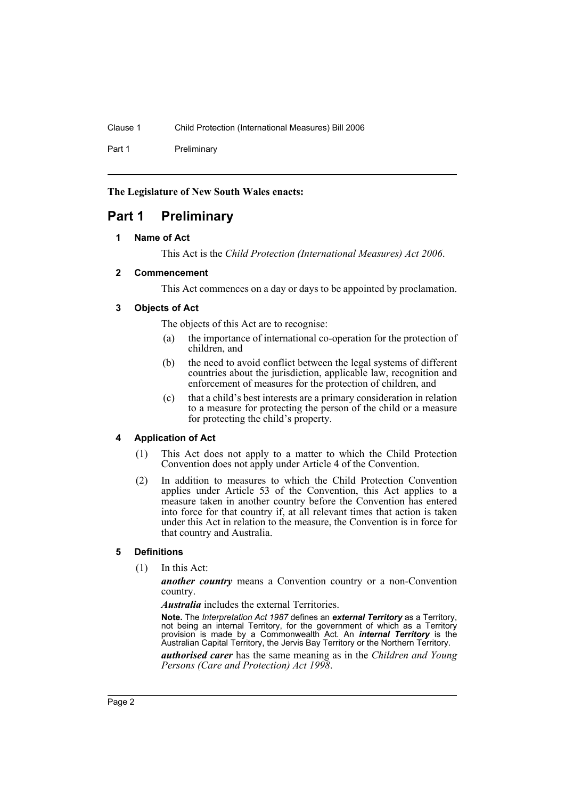Part 1 Preliminary

**The Legislature of New South Wales enacts:**

## **Part 1 Preliminary**

#### **1 Name of Act**

This Act is the *Child Protection (International Measures) Act 2006*.

#### **2 Commencement**

This Act commences on a day or days to be appointed by proclamation.

#### **3 Objects of Act**

The objects of this Act are to recognise:

- (a) the importance of international co-operation for the protection of children, and
- (b) the need to avoid conflict between the legal systems of different countries about the jurisdiction, applicable law, recognition and enforcement of measures for the protection of children, and
- (c) that a child's best interests are a primary consideration in relation to a measure for protecting the person of the child or a measure for protecting the child's property.

#### **4 Application of Act**

- (1) This Act does not apply to a matter to which the Child Protection Convention does not apply under Article 4 of the Convention.
- (2) In addition to measures to which the Child Protection Convention applies under Article 53 of the Convention, this Act applies to a measure taken in another country before the Convention has entered into force for that country if, at all relevant times that action is taken under this Act in relation to the measure, the Convention is in force for that country and Australia.

#### **5 Definitions**

(1) In this Act:

*another country* means a Convention country or a non-Convention country.

*Australia* includes the external Territories.

**Note.** The *Interpretation Act 1987* defines an *external Territory* as a Territory, not being an internal Territory, for the government of which as a Territory provision is made by a Commonwealth Act. An *internal Territory* is the Australian Capital Territory, the Jervis Bay Territory or the Northern Territory.

*authorised carer* has the same meaning as in the *Children and Young Persons (Care and Protection) Act 1998*.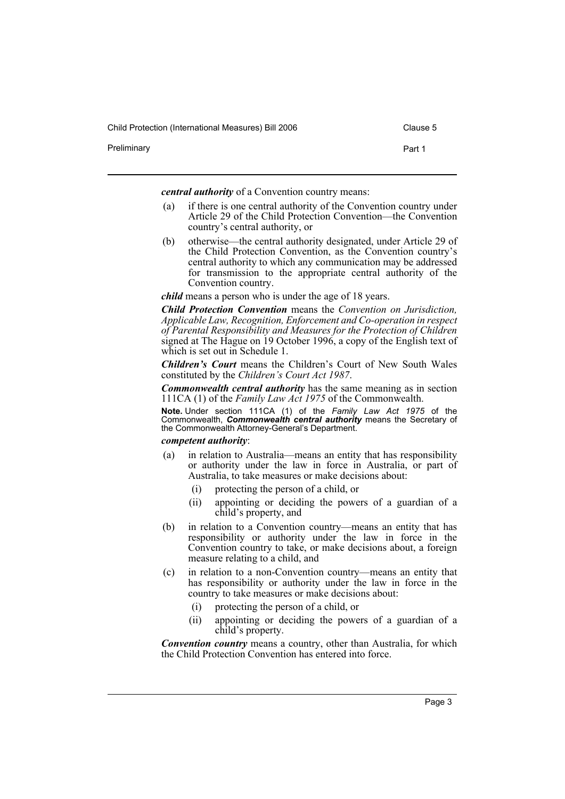Child Protection (International Measures) Bill 2006 Child Protection Clause 5

Preliminary **Preliminary Part 1** 

*central authority* of a Convention country means:

- (a) if there is one central authority of the Convention country under Article 29 of the Child Protection Convention—the Convention country's central authority, or
- (b) otherwise—the central authority designated, under Article 29 of the Child Protection Convention, as the Convention country's central authority to which any communication may be addressed for transmission to the appropriate central authority of the Convention country.

*child* means a person who is under the age of 18 years.

*Child Protection Convention* means the *Convention on Jurisdiction, Applicable Law, Recognition, Enforcement and Co-operation in respect of Parental Responsibility and Measures for the Protection of Children* signed at The Hague on 19 October 1996, a copy of the English text of which is set out in Schedule 1.

*Children's Court* means the Children's Court of New South Wales constituted by the *Children's Court Act 1987*.

*Commonwealth central authority* has the same meaning as in section 111CA (1) of the *Family Law Act 1975* of the Commonwealth.

**Note.** Under section 111CA (1) of the *Family Law Act 1975* of the Commonwealth, *Commonwealth central authority* means the Secretary of the Commonwealth Attorney-General's Department.

#### *competent authority*:

- (a) in relation to Australia—means an entity that has responsibility or authority under the law in force in Australia, or part of Australia, to take measures or make decisions about:
	- (i) protecting the person of a child, or
	- (ii) appointing or deciding the powers of a guardian of a child's property, and
- (b) in relation to a Convention country—means an entity that has responsibility or authority under the law in force in the Convention country to take, or make decisions about, a foreign measure relating to a child, and
- (c) in relation to a non-Convention country—means an entity that has responsibility or authority under the law in force in the country to take measures or make decisions about:
	- (i) protecting the person of a child, or
	- (ii) appointing or deciding the powers of a guardian of a child's property.

*Convention country* means a country, other than Australia, for which the Child Protection Convention has entered into force.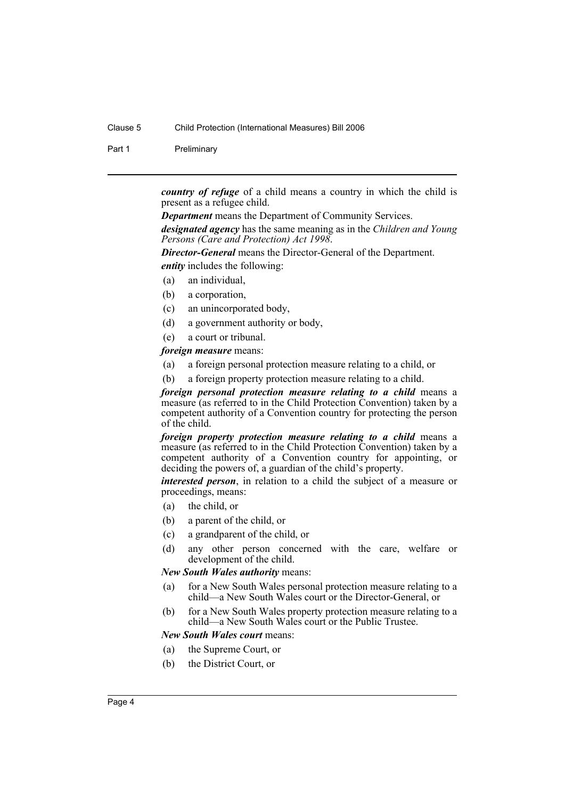Part 1 Preliminary

*country of refuge* of a child means a country in which the child is present as a refugee child.

*Department* means the Department of Community Services.

*designated agency* has the same meaning as in the *Children and Young Persons (Care and Protection) Act 1998*.

*Director-General* means the Director-General of the Department.

*entity* includes the following:

- (a) an individual,
- (b) a corporation,
- (c) an unincorporated body,
- (d) a government authority or body,
- (e) a court or tribunal.

*foreign measure* means:

- (a) a foreign personal protection measure relating to a child, or
- (b) a foreign property protection measure relating to a child.

*foreign personal protection measure relating to a child* means a measure (as referred to in the Child Protection Convention) taken by a competent authority of a Convention country for protecting the person of the child.

*foreign property protection measure relating to a child* means a measure (as referred to in the Child Protection Convention) taken by a competent authority of a Convention country for appointing, or deciding the powers of, a guardian of the child's property.

*interested person*, in relation to a child the subject of a measure or proceedings, means:

- (a) the child, or
- (b) a parent of the child, or
- (c) a grandparent of the child, or
- (d) any other person concerned with the care, welfare or development of the child.

*New South Wales authority* means:

- (a) for a New South Wales personal protection measure relating to a child—a New South Wales court or the Director-General, or
- (b) for a New South Wales property protection measure relating to a child—a New South Wales court or the Public Trustee.

*New South Wales court* means:

- (a) the Supreme Court, or
- (b) the District Court, or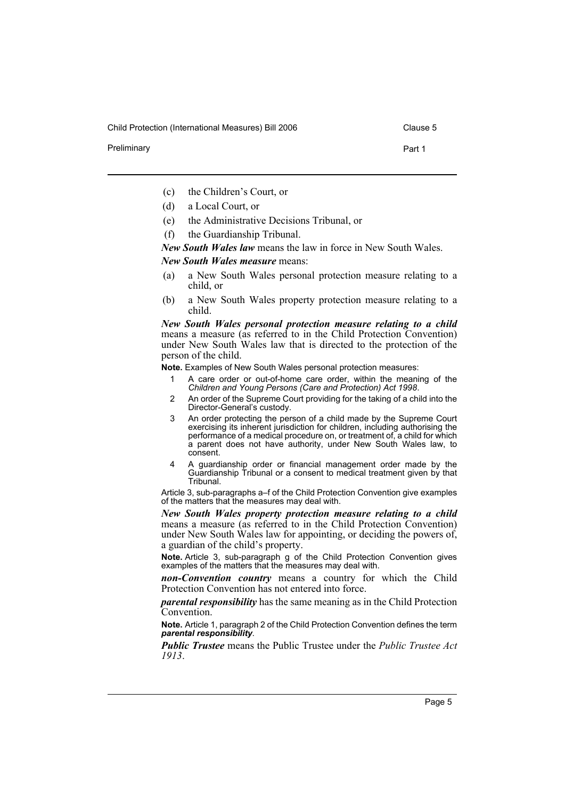Child Protection (International Measures) Bill 2006 Child Protection Clause 5

Preliminary **Preliminary Part 1** 

- (c) the Children's Court, or
- (d) a Local Court, or
- (e) the Administrative Decisions Tribunal, or
- (f) the Guardianship Tribunal.

*New South Wales law* means the law in force in New South Wales.

*New South Wales measure* means:

- (a) a New South Wales personal protection measure relating to a child, or
- (b) a New South Wales property protection measure relating to a child.

*New South Wales personal protection measure relating to a child* means a measure (as referred to in the Child Protection Convention) under New South Wales law that is directed to the protection of the person of the child.

**Note.** Examples of New South Wales personal protection measures:

- 1 A care order or out-of-home care order, within the meaning of the *Children and Young Persons (Care and Protection) Act 1998*.
- 2 An order of the Supreme Court providing for the taking of a child into the Director-General's custody.
- 3 An order protecting the person of a child made by the Supreme Court exercising its inherent jurisdiction for children, including authorising the performance of a medical procedure on, or treatment of, a child for which a parent does not have authority, under New South Wales law, to consent.
- 4 A guardianship order or financial management order made by the Guardianship Tribunal or a consent to medical treatment given by that Tribunal.

Article 3, sub-paragraphs a–f of the Child Protection Convention give examples of the matters that the measures may deal with.

*New South Wales property protection measure relating to a child* means a measure (as referred to in the Child Protection Convention) under New South Wales law for appointing, or deciding the powers of, a guardian of the child's property.

**Note.** Article 3, sub-paragraph g of the Child Protection Convention gives examples of the matters that the measures may deal with.

*non-Convention country* means a country for which the Child Protection Convention has not entered into force.

*parental responsibility* has the same meaning as in the Child Protection Convention.

**Note.** Article 1, paragraph 2 of the Child Protection Convention defines the term *parental responsibility*.

*Public Trustee* means the Public Trustee under the *Public Trustee Act 1913*.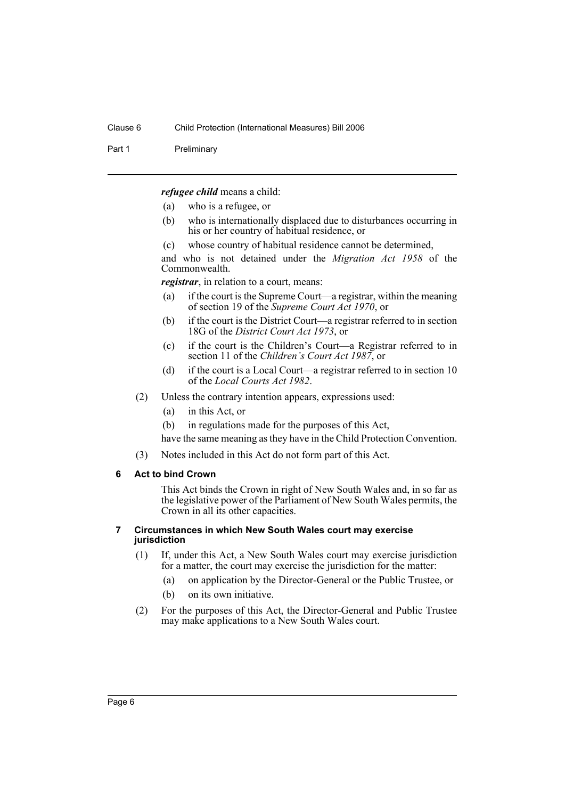Part 1 Preliminary

*refugee child* means a child:

- (a) who is a refugee, or
- (b) who is internationally displaced due to disturbances occurring in his or her country of habitual residence, or
- (c) whose country of habitual residence cannot be determined,

and who is not detained under the *Migration Act 1958* of the Commonwealth.

*registrar*, in relation to a court, means:

- (a) if the court is the Supreme Court—a registrar, within the meaning of section 19 of the *Supreme Court Act 1970*, or
- (b) if the court is the District Court—a registrar referred to in section 18G of the *District Court Act 1973*, or
- (c) if the court is the Children's Court—a Registrar referred to in section 11 of the *Children's Court Act 1987*, or
- (d) if the court is a Local Court—a registrar referred to in section 10 of the *Local Courts Act 1982*.
- (2) Unless the contrary intention appears, expressions used:
	- (a) in this Act, or
	- (b) in regulations made for the purposes of this Act,

have the same meaning as they have in the Child Protection Convention.

(3) Notes included in this Act do not form part of this Act.

#### **6 Act to bind Crown**

This Act binds the Crown in right of New South Wales and, in so far as the legislative power of the Parliament of New South Wales permits, the Crown in all its other capacities.

#### **7 Circumstances in which New South Wales court may exercise jurisdiction**

- (1) If, under this Act, a New South Wales court may exercise jurisdiction for a matter, the court may exercise the jurisdiction for the matter:
	- (a) on application by the Director-General or the Public Trustee, or
	- (b) on its own initiative.
- (2) For the purposes of this Act, the Director-General and Public Trustee may make applications to a New South Wales court.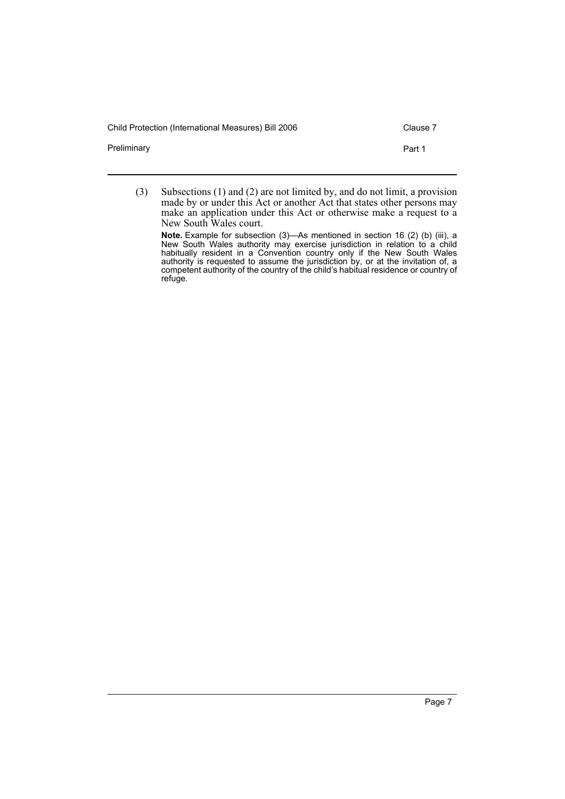Child Protection (International Measures) Bill 2006 Clause 7

Preliminary **Part 1** 

(3) Subsections (1) and (2) are not limited by, and do not limit, a provision made by or under this Act or another Act that states other persons may make an application under this Act or otherwise make a request to a New South Wales court.

**Note.** Example for subsection (3)—As mentioned in section 16 (2) (b) (iii), a New South Wales authority may exercise jurisdiction in relation to a child habitually resident in a Convention country only if the New South Wales authority is requested to assume the jurisdiction by, or at the invitation of, a competent authority of the country of the child's habitual residence or country of refuge.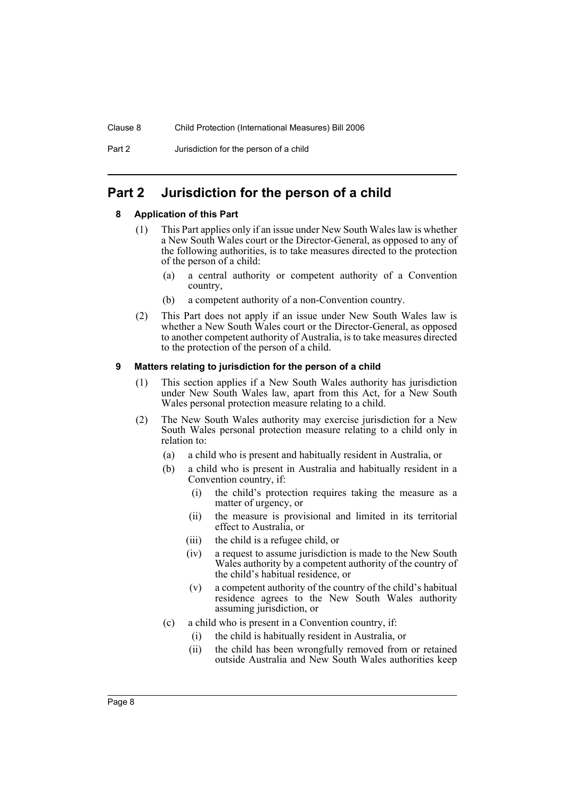### **Part 2 Jurisdiction for the person of a child**

#### **8 Application of this Part**

- (1) This Part applies only if an issue under New South Wales law is whether a New South Wales court or the Director-General, as opposed to any of the following authorities, is to take measures directed to the protection of the person of a child:
	- (a) a central authority or competent authority of a Convention country,
	- (b) a competent authority of a non-Convention country.
- (2) This Part does not apply if an issue under New South Wales law is whether a New South Wales court or the Director-General, as opposed to another competent authority of Australia, is to take measures directed to the protection of the person of a child.

#### **9 Matters relating to jurisdiction for the person of a child**

- (1) This section applies if a New South Wales authority has jurisdiction under New South Wales law, apart from this Act, for a New South Wales personal protection measure relating to a child.
- (2) The New South Wales authority may exercise jurisdiction for a New South Wales personal protection measure relating to a child only in relation to:
	- (a) a child who is present and habitually resident in Australia, or
	- (b) a child who is present in Australia and habitually resident in a Convention country, if:
		- (i) the child's protection requires taking the measure as a matter of urgency, or
		- (ii) the measure is provisional and limited in its territorial effect to Australia, or
		- (iii) the child is a refugee child, or
		- (iv) a request to assume jurisdiction is made to the New South Wales authority by a competent authority of the country of the child's habitual residence, or
		- (v) a competent authority of the country of the child's habitual residence agrees to the New South Wales authority assuming jurisdiction, or
	- (c) a child who is present in a Convention country, if:
		- (i) the child is habitually resident in Australia, or
		- (ii) the child has been wrongfully removed from or retained outside Australia and New South Wales authorities keep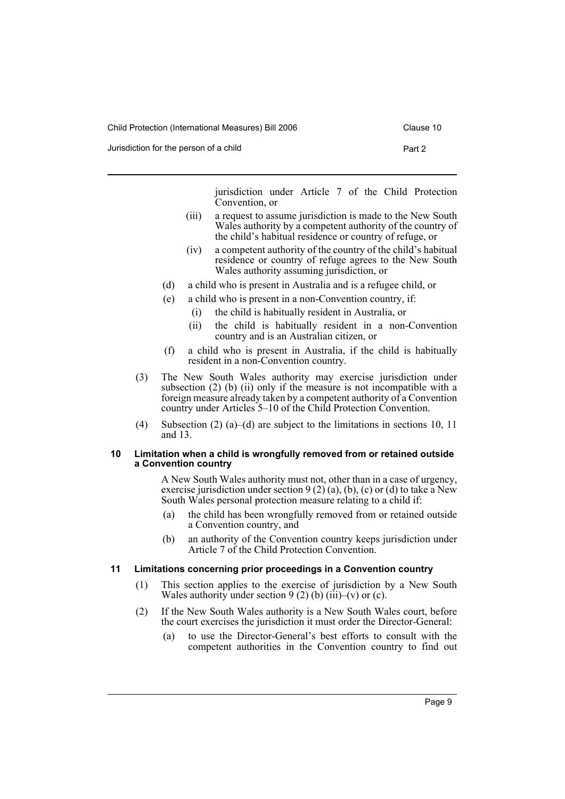Child Protection (International Measures) Bill 2006 Communication Clause 10

jurisdiction under Article 7 of the Child Protection Convention, or

- (iii) a request to assume jurisdiction is made to the New South Wales authority by a competent authority of the country of the child's habitual residence or country of refuge, or
- (iv) a competent authority of the country of the child's habitual residence or country of refuge agrees to the New South Wales authority assuming jurisdiction, or
- (d) a child who is present in Australia and is a refugee child, or
- (e) a child who is present in a non-Convention country, if:
	- (i) the child is habitually resident in Australia, or
	- (ii) the child is habitually resident in a non-Convention country and is an Australian citizen, or
- (f) a child who is present in Australia, if the child is habitually resident in a non-Convention country.
- (3) The New South Wales authority may exercise jurisdiction under subsection (2) (b) (ii) only if the measure is not incompatible with a foreign measure already taken by a competent authority of a Convention country under Articles 5–10 of the Child Protection Convention.
- (4) Subsection (2) (a)–(d) are subject to the limitations in sections 10, 11 and 13.

#### **10 Limitation when a child is wrongfully removed from or retained outside a Convention country**

A New South Wales authority must not, other than in a case of urgency, exercise jurisdiction under section 9 (2) (a), (b), (c) or (d) to take a New South Wales personal protection measure relating to a child if:

- (a) the child has been wrongfully removed from or retained outside a Convention country, and
- (b) an authority of the Convention country keeps jurisdiction under Article 7 of the Child Protection Convention.

#### **11 Limitations concerning prior proceedings in a Convention country**

- (1) This section applies to the exercise of jurisdiction by a New South Wales authority under section 9 (2) (b) (iii)–(v) or (c).
- (2) If the New South Wales authority is a New South Wales court, before the court exercises the jurisdiction it must order the Director-General:
	- (a) to use the Director-General's best efforts to consult with the competent authorities in the Convention country to find out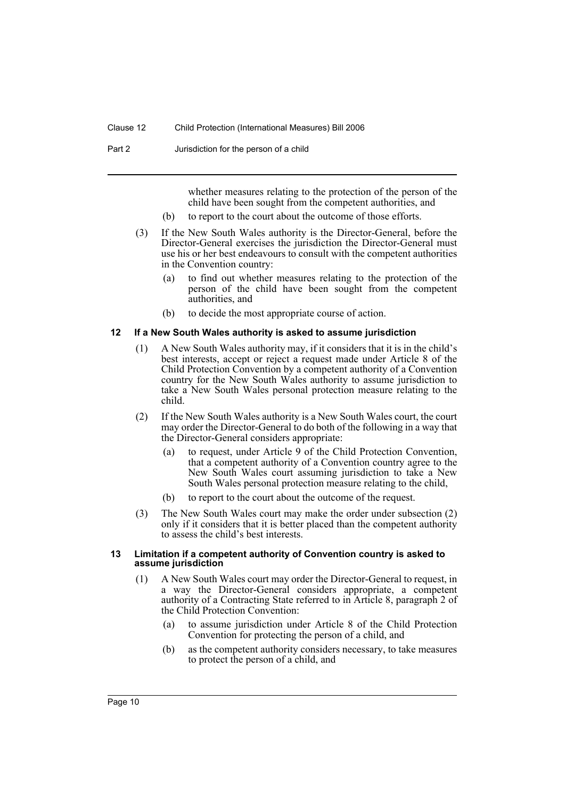Part 2 Jurisdiction for the person of a child

whether measures relating to the protection of the person of the child have been sought from the competent authorities, and

- (b) to report to the court about the outcome of those efforts.
- (3) If the New South Wales authority is the Director-General, before the Director-General exercises the jurisdiction the Director-General must use his or her best endeavours to consult with the competent authorities in the Convention country:
	- (a) to find out whether measures relating to the protection of the person of the child have been sought from the competent authorities, and
	- (b) to decide the most appropriate course of action.

#### **12 If a New South Wales authority is asked to assume jurisdiction**

- (1) A New South Wales authority may, if it considers that it is in the child's best interests, accept or reject a request made under Article 8 of the Child Protection Convention by a competent authority of a Convention country for the New South Wales authority to assume jurisdiction to take a New South Wales personal protection measure relating to the child.
- (2) If the New South Wales authority is a New South Wales court, the court may order the Director-General to do both of the following in a way that the Director-General considers appropriate:
	- (a) to request, under Article 9 of the Child Protection Convention, that a competent authority of a Convention country agree to the New South Wales court assuming jurisdiction to take a New South Wales personal protection measure relating to the child,
	- (b) to report to the court about the outcome of the request.
- (3) The New South Wales court may make the order under subsection (2) only if it considers that it is better placed than the competent authority to assess the child's best interests.

#### **13 Limitation if a competent authority of Convention country is asked to assume jurisdiction**

- (1) A New South Wales court may order the Director-General to request, in a way the Director-General considers appropriate, a competent authority of a Contracting State referred to in Article 8, paragraph 2 of the Child Protection Convention:
	- (a) to assume jurisdiction under Article 8 of the Child Protection Convention for protecting the person of a child, and
	- (b) as the competent authority considers necessary, to take measures to protect the person of a child, and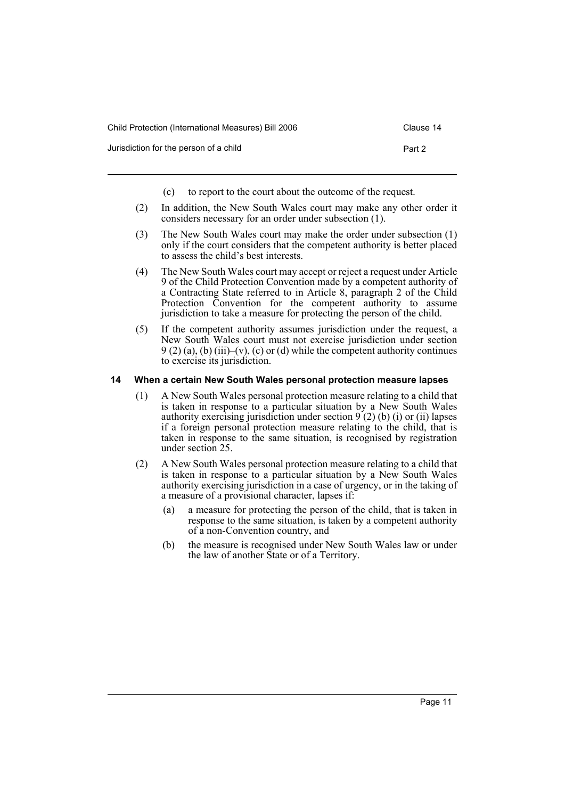| Child Protection (International Measures) Bill 2006 | Clause 14 |
|-----------------------------------------------------|-----------|
| Jurisdiction for the person of a child              | Part 2    |

- (c) to report to the court about the outcome of the request.
- (2) In addition, the New South Wales court may make any other order it considers necessary for an order under subsection (1).
- (3) The New South Wales court may make the order under subsection (1) only if the court considers that the competent authority is better placed to assess the child's best interests.
- (4) The New South Wales court may accept or reject a request under Article 9 of the Child Protection Convention made by a competent authority of a Contracting State referred to in Article 8, paragraph 2 of the Child Protection Convention for the competent authority to assume jurisdiction to take a measure for protecting the person of the child.
- (5) If the competent authority assumes jurisdiction under the request, a New South Wales court must not exercise jurisdiction under section  $9(2)(a)$ , (b) (iii)–(v), (c) or (d) while the competent authority continues to exercise its jurisdiction.

#### **14 When a certain New South Wales personal protection measure lapses**

- (1) A New South Wales personal protection measure relating to a child that is taken in response to a particular situation by a New South Wales authority exercising jurisdiction under section 9 (2) (b) (i) or (ii) lapses if a foreign personal protection measure relating to the child, that is taken in response to the same situation, is recognised by registration under section 25.
- (2) A New South Wales personal protection measure relating to a child that is taken in response to a particular situation by a New South Wales authority exercising jurisdiction in a case of urgency, or in the taking of a measure of a provisional character, lapses if:
	- (a) a measure for protecting the person of the child, that is taken in response to the same situation, is taken by a competent authority of a non-Convention country, and
	- (b) the measure is recognised under New South Wales law or under the law of another State or of a Territory.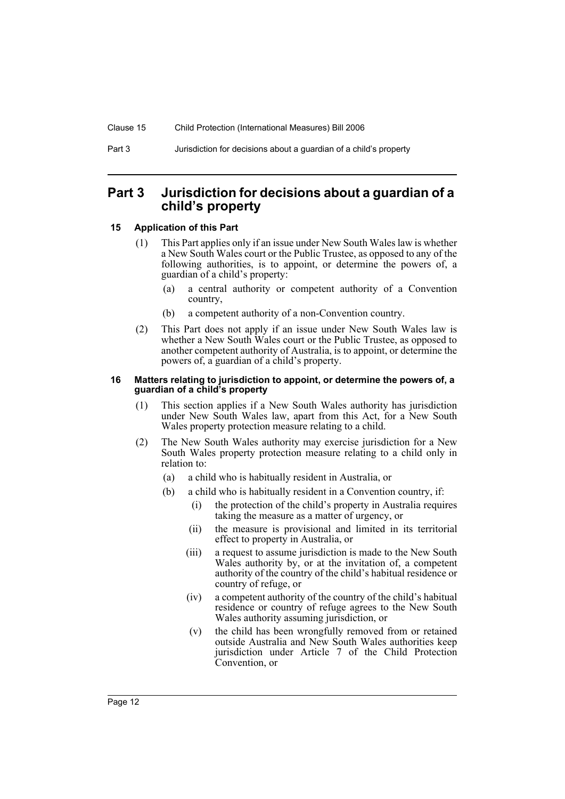### **Part 3 Jurisdiction for decisions about a guardian of a child's property**

#### **15 Application of this Part**

- (1) This Part applies only if an issue under New South Wales law is whether a New South Wales court or the Public Trustee, as opposed to any of the following authorities, is to appoint, or determine the powers of, a guardian of a child's property:
	- (a) a central authority or competent authority of a Convention country,
	- (b) a competent authority of a non-Convention country.
- (2) This Part does not apply if an issue under New South Wales law is whether a New South Wales court or the Public Trustee, as opposed to another competent authority of Australia, is to appoint, or determine the powers of, a guardian of a child's property.

#### **16 Matters relating to jurisdiction to appoint, or determine the powers of, a guardian of a child's property**

- (1) This section applies if a New South Wales authority has jurisdiction under New South Wales law, apart from this Act, for a New South Wales property protection measure relating to a child.
- (2) The New South Wales authority may exercise jurisdiction for a New South Wales property protection measure relating to a child only in relation to:
	- (a) a child who is habitually resident in Australia, or
	- (b) a child who is habitually resident in a Convention country, if:
		- (i) the protection of the child's property in Australia requires taking the measure as a matter of urgency, or
		- (ii) the measure is provisional and limited in its territorial effect to property in Australia, or
		- (iii) a request to assume jurisdiction is made to the New South Wales authority by, or at the invitation of, a competent authority of the country of the child's habitual residence or country of refuge, or
		- (iv) a competent authority of the country of the child's habitual residence or country of refuge agrees to the New South Wales authority assuming jurisdiction, or
		- (v) the child has been wrongfully removed from or retained outside Australia and New South Wales authorities keep jurisdiction under Article 7 of the Child Protection Convention, or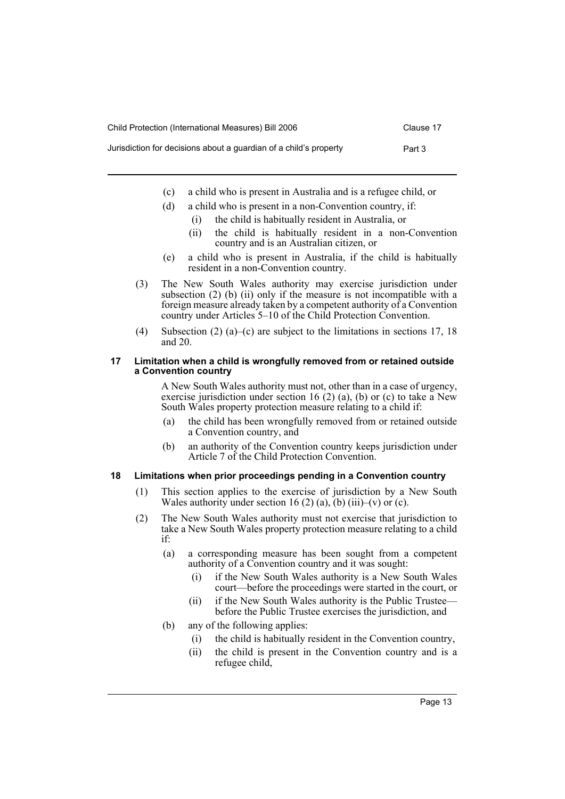| Child Protection (International Measures) Bill 2006               | Clause 17 |
|-------------------------------------------------------------------|-----------|
| Jurisdiction for decisions about a quardian of a child's property | Part 3    |

- (c) a child who is present in Australia and is a refugee child, or
- (d) a child who is present in a non-Convention country, if:
	- (i) the child is habitually resident in Australia, or
	- (ii) the child is habitually resident in a non-Convention country and is an Australian citizen, or
- (e) a child who is present in Australia, if the child is habitually resident in a non-Convention country.
- (3) The New South Wales authority may exercise jurisdiction under subsection (2) (b) (ii) only if the measure is not incompatible with a foreign measure already taken by a competent authority of a Convention country under Articles 5–10 of the Child Protection Convention.
- (4) Subsection (2) (a)–(c) are subject to the limitations in sections 17, 18 and 20.

#### **17 Limitation when a child is wrongfully removed from or retained outside a Convention country**

A New South Wales authority must not, other than in a case of urgency, exercise jurisdiction under section 16 (2) (a), (b) or (c) to take a New South Wales property protection measure relating to a child if:

- (a) the child has been wrongfully removed from or retained outside a Convention country, and
- (b) an authority of the Convention country keeps jurisdiction under Article 7 of the Child Protection Convention.

#### **18 Limitations when prior proceedings pending in a Convention country**

- (1) This section applies to the exercise of jurisdiction by a New South Wales authority under section 16 (2) (a), (b) (iii)–(v) or (c).
- (2) The New South Wales authority must not exercise that jurisdiction to take a New South Wales property protection measure relating to a child if:
	- (a) a corresponding measure has been sought from a competent authority of a Convention country and it was sought:
		- (i) if the New South Wales authority is a New South Wales court—before the proceedings were started in the court, or
		- (ii) if the New South Wales authority is the Public Trustee before the Public Trustee exercises the jurisdiction, and
	- (b) any of the following applies:
		- (i) the child is habitually resident in the Convention country,
		- (ii) the child is present in the Convention country and is a refugee child,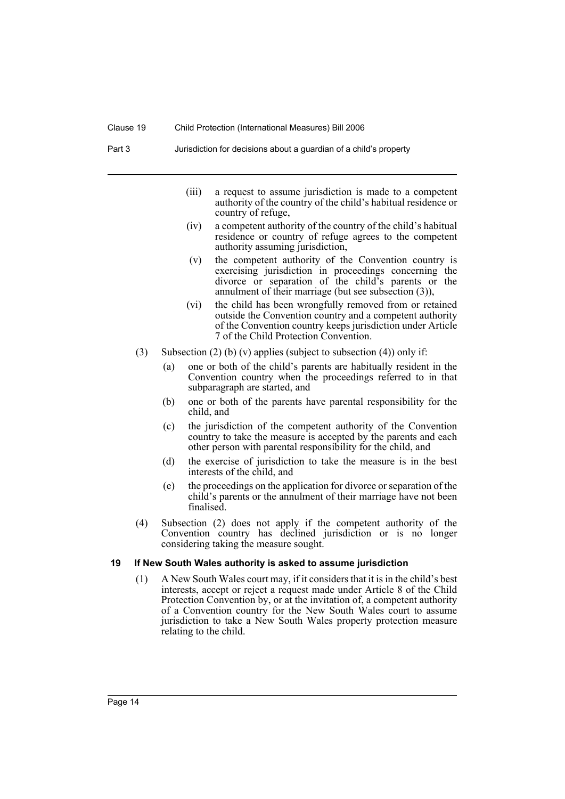- (iii) a request to assume jurisdiction is made to a competent authority of the country of the child's habitual residence or country of refuge,
- (iv) a competent authority of the country of the child's habitual residence or country of refuge agrees to the competent authority assuming jurisdiction,
- (v) the competent authority of the Convention country is exercising jurisdiction in proceedings concerning the divorce or separation of the child's parents or the annulment of their marriage (but see subsection (3)),
- (vi) the child has been wrongfully removed from or retained outside the Convention country and a competent authority of the Convention country keeps jurisdiction under Article 7 of the Child Protection Convention.
- (3) Subsection (2) (b) (v) applies (subject to subsection (4)) only if:
	- (a) one or both of the child's parents are habitually resident in the Convention country when the proceedings referred to in that subparagraph are started, and
	- (b) one or both of the parents have parental responsibility for the child, and
	- (c) the jurisdiction of the competent authority of the Convention country to take the measure is accepted by the parents and each other person with parental responsibility for the child, and
	- (d) the exercise of jurisdiction to take the measure is in the best interests of the child, and
	- (e) the proceedings on the application for divorce or separation of the child's parents or the annulment of their marriage have not been finalised.
- (4) Subsection (2) does not apply if the competent authority of the Convention country has declined jurisdiction or is no longer considering taking the measure sought.

#### **19 If New South Wales authority is asked to assume jurisdiction**

(1) A New South Wales court may, if it considers that it is in the child's best interests, accept or reject a request made under Article 8 of the Child Protection Convention by, or at the invitation of, a competent authority of a Convention country for the New South Wales court to assume jurisdiction to take a New South Wales property protection measure relating to the child.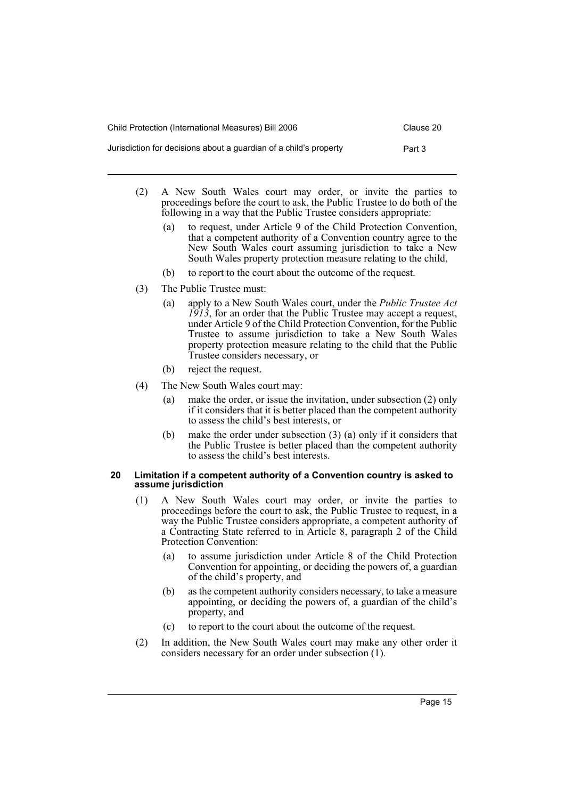| Child Protection (International Measures) Bill 2006               | Clause 20 |
|-------------------------------------------------------------------|-----------|
| Jurisdiction for decisions about a quardian of a child's property | Part 3    |

- (2) A New South Wales court may order, or invite the parties to proceedings before the court to ask, the Public Trustee to do both of the following in a way that the Public Trustee considers appropriate:
	- (a) to request, under Article 9 of the Child Protection Convention, that a competent authority of a Convention country agree to the New South Wales court assuming jurisdiction to take a New South Wales property protection measure relating to the child,
	- (b) to report to the court about the outcome of the request.
- (3) The Public Trustee must:
	- (a) apply to a New South Wales court, under the *Public Trustee Act 1913*, for an order that the Public Trustee may accept a request, under Article 9 of the Child Protection Convention, for the Public Trustee to assume jurisdiction to take a New South Wales property protection measure relating to the child that the Public Trustee considers necessary, or
	- (b) reject the request.
- (4) The New South Wales court may:
	- (a) make the order, or issue the invitation, under subsection (2) only if it considers that it is better placed than the competent authority to assess the child's best interests, or
	- (b) make the order under subsection (3) (a) only if it considers that the Public Trustee is better placed than the competent authority to assess the child's best interests.

#### **20 Limitation if a competent authority of a Convention country is asked to assume jurisdiction**

- (1) A New South Wales court may order, or invite the parties to proceedings before the court to ask, the Public Trustee to request, in a way the Public Trustee considers appropriate, a competent authority of a Contracting State referred to in Article 8, paragraph 2 of the Child Protection Convention:
	- (a) to assume jurisdiction under Article 8 of the Child Protection Convention for appointing, or deciding the powers of, a guardian of the child's property, and
	- (b) as the competent authority considers necessary, to take a measure appointing, or deciding the powers of, a guardian of the child's property, and
	- (c) to report to the court about the outcome of the request.
- (2) In addition, the New South Wales court may make any other order it considers necessary for an order under subsection (1).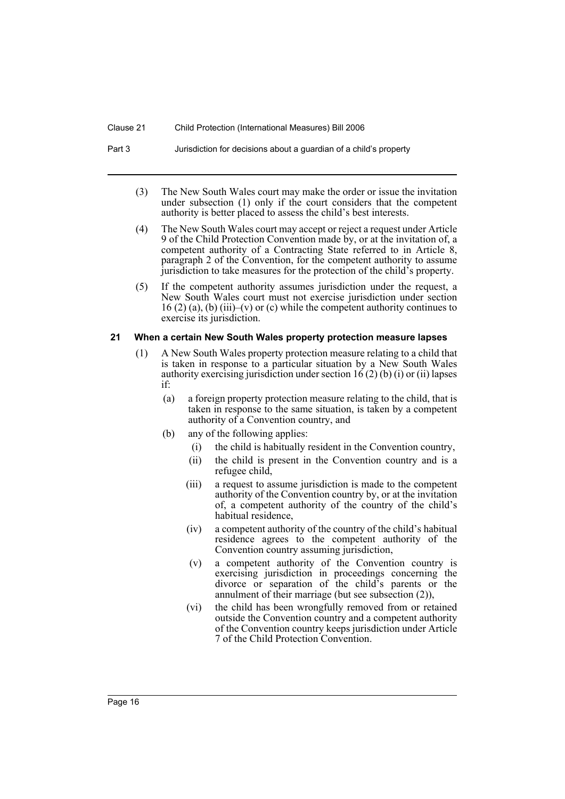Part 3 Jurisdiction for decisions about a guardian of a child's property

- (3) The New South Wales court may make the order or issue the invitation under subsection (1) only if the court considers that the competent authority is better placed to assess the child's best interests.
- (4) The New South Wales court may accept or reject a request under Article 9 of the Child Protection Convention made by, or at the invitation of, a competent authority of a Contracting State referred to in Article 8, paragraph 2 of the Convention, for the competent authority to assume jurisdiction to take measures for the protection of the child's property.
- (5) If the competent authority assumes jurisdiction under the request, a New South Wales court must not exercise jurisdiction under section 16 (2) (a), (b) (iii)–(v) or (c) while the competent authority continues to exercise its jurisdiction.

#### **21 When a certain New South Wales property protection measure lapses**

- (1) A New South Wales property protection measure relating to a child that is taken in response to a particular situation by a New South Wales authority exercising jurisdiction under section  $16(2)(b)(i)$  or (ii) lapses if:
	- (a) a foreign property protection measure relating to the child, that is taken in response to the same situation, is taken by a competent authority of a Convention country, and
	- (b) any of the following applies:
		- (i) the child is habitually resident in the Convention country,
		- (ii) the child is present in the Convention country and is a refugee child,
		- (iii) a request to assume jurisdiction is made to the competent authority of the Convention country by, or at the invitation of, a competent authority of the country of the child's habitual residence,
		- (iv) a competent authority of the country of the child's habitual residence agrees to the competent authority of the Convention country assuming jurisdiction,
		- (v) a competent authority of the Convention country is exercising jurisdiction in proceedings concerning the divorce or separation of the child's parents or the annulment of their marriage (but see subsection (2)),
		- (vi) the child has been wrongfully removed from or retained outside the Convention country and a competent authority of the Convention country keeps jurisdiction under Article 7 of the Child Protection Convention.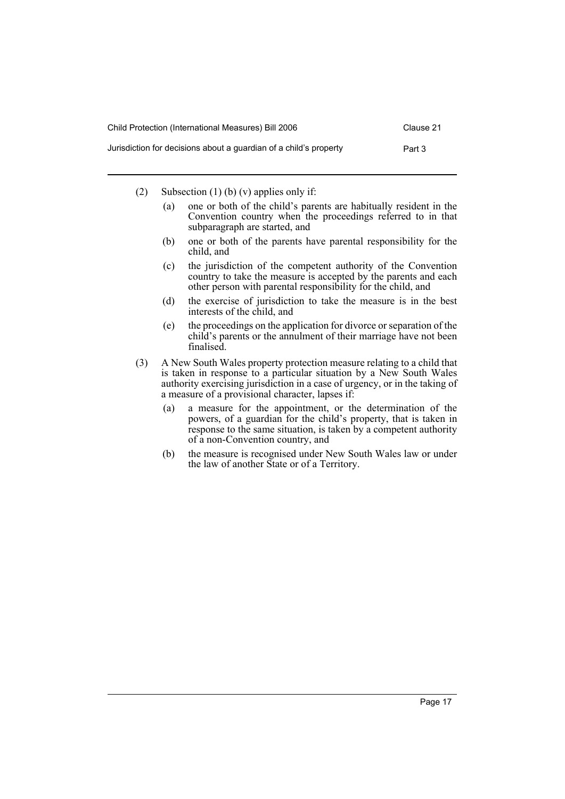| Child Protection (International Measures) Bill 2006               | Clause 21 |
|-------------------------------------------------------------------|-----------|
| Jurisdiction for decisions about a quardian of a child's property | Part 3    |

(2) Subsection (1) (b) (v) applies only if:

- (a) one or both of the child's parents are habitually resident in the Convention country when the proceedings referred to in that subparagraph are started, and
- (b) one or both of the parents have parental responsibility for the child, and
- (c) the jurisdiction of the competent authority of the Convention country to take the measure is accepted by the parents and each other person with parental responsibility for the child, and
- (d) the exercise of jurisdiction to take the measure is in the best interests of the child, and
- (e) the proceedings on the application for divorce or separation of the child's parents or the annulment of their marriage have not been finalised.
- (3) A New South Wales property protection measure relating to a child that is taken in response to a particular situation by a New South Wales authority exercising jurisdiction in a case of urgency, or in the taking of a measure of a provisional character, lapses if:
	- (a) a measure for the appointment, or the determination of the powers, of a guardian for the child's property, that is taken in response to the same situation, is taken by a competent authority of a non-Convention country, and
	- (b) the measure is recognised under New South Wales law or under the law of another State or of a Territory.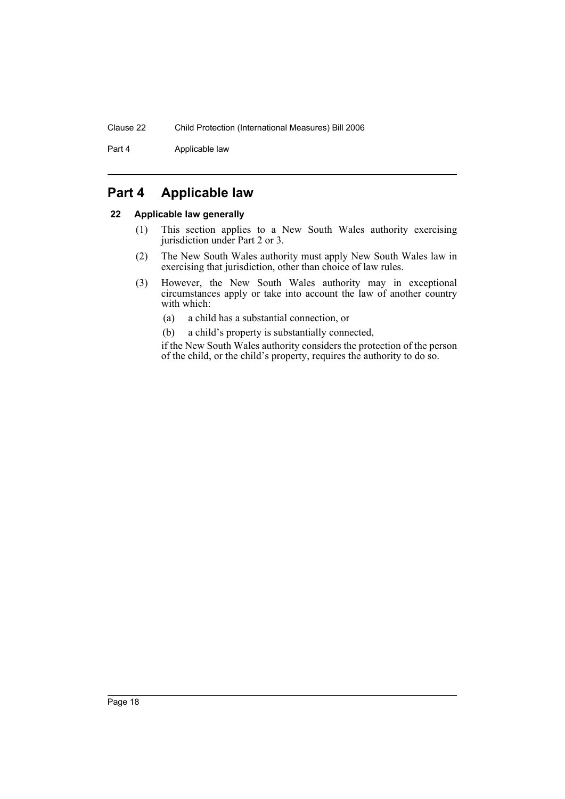Part 4 Applicable law

### **Part 4 Applicable law**

#### **22 Applicable law generally**

- (1) This section applies to a New South Wales authority exercising jurisdiction under Part 2 or 3.
- (2) The New South Wales authority must apply New South Wales law in exercising that jurisdiction, other than choice of law rules.
- (3) However, the New South Wales authority may in exceptional circumstances apply or take into account the law of another country with which:
	- (a) a child has a substantial connection, or
	- (b) a child's property is substantially connected,

if the New South Wales authority considers the protection of the person of the child, or the child's property, requires the authority to do so.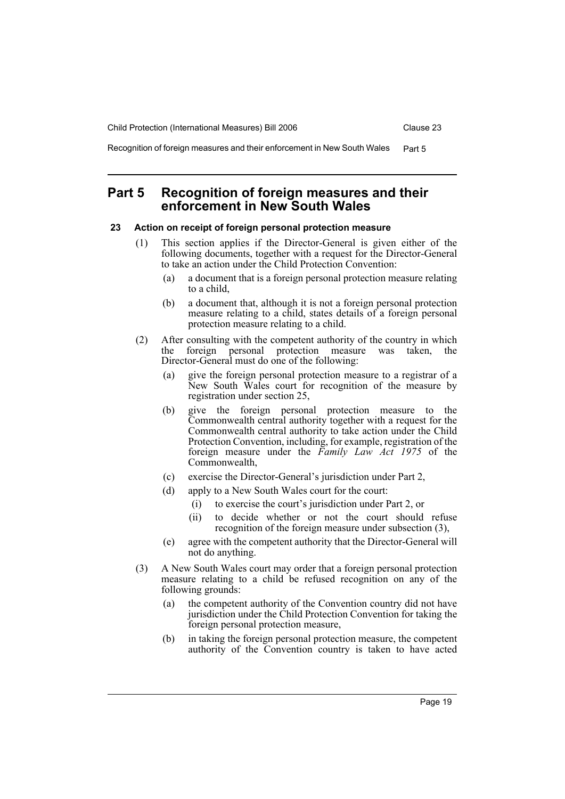Child Protection (International Measures) Bill 2006 Child Protection Clause 23

Recognition of foreign measures and their enforcement in New South Wales Part 5

### **Part 5 Recognition of foreign measures and their enforcement in New South Wales**

#### **23 Action on receipt of foreign personal protection measure**

- (1) This section applies if the Director-General is given either of the following documents, together with a request for the Director-General to take an action under the Child Protection Convention:
	- (a) a document that is a foreign personal protection measure relating to a child,
	- (b) a document that, although it is not a foreign personal protection measure relating to a child, states details of a foreign personal protection measure relating to a child.
- (2) After consulting with the competent authority of the country in which the foreign personal protection measure was taken, the Director-General must do one of the following:
	- (a) give the foreign personal protection measure to a registrar of a New South Wales court for recognition of the measure by registration under section 25,
	- (b) give the foreign personal protection measure to the Commonwealth central authority together with a request for the Commonwealth central authority to take action under the Child Protection Convention, including, for example, registration of the foreign measure under the *Family Law Act 1975* of the Commonwealth,
	- (c) exercise the Director-General's jurisdiction under Part 2,
	- (d) apply to a New South Wales court for the court:
		- (i) to exercise the court's jurisdiction under Part 2, or
		- (ii) to decide whether or not the court should refuse recognition of the foreign measure under subsection (3),
	- (e) agree with the competent authority that the Director-General will not do anything.
- (3) A New South Wales court may order that a foreign personal protection measure relating to a child be refused recognition on any of the following grounds:
	- (a) the competent authority of the Convention country did not have jurisdiction under the Child Protection Convention for taking the foreign personal protection measure,
	- (b) in taking the foreign personal protection measure, the competent authority of the Convention country is taken to have acted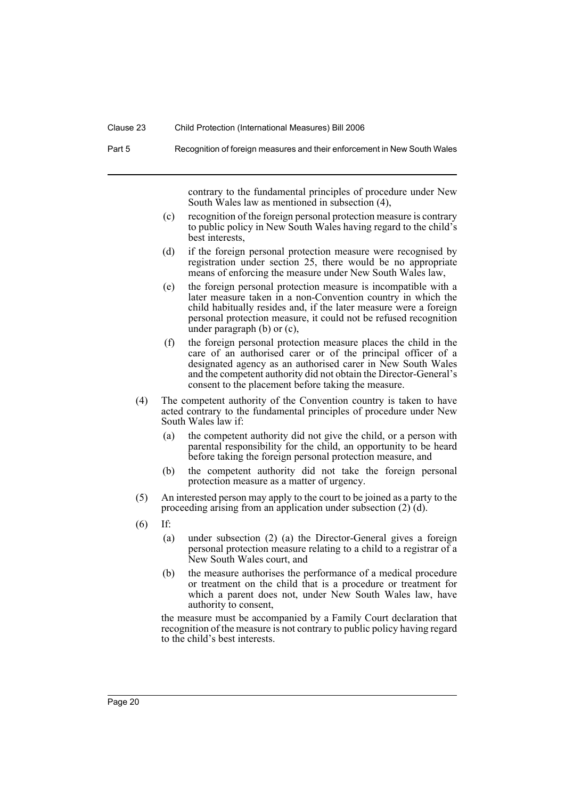Part 5 Recognition of foreign measures and their enforcement in New South Wales

contrary to the fundamental principles of procedure under New South Wales law as mentioned in subsection (4),

- (c) recognition of the foreign personal protection measure is contrary to public policy in New South Wales having regard to the child's best interests,
- (d) if the foreign personal protection measure were recognised by registration under section 25, there would be no appropriate means of enforcing the measure under New South Wales law,
- (e) the foreign personal protection measure is incompatible with a later measure taken in a non-Convention country in which the child habitually resides and, if the later measure were a foreign personal protection measure, it could not be refused recognition under paragraph  $(b)$  or  $(c)$ ,
- (f) the foreign personal protection measure places the child in the care of an authorised carer or of the principal officer of a designated agency as an authorised carer in New South Wales and the competent authority did not obtain the Director-General's consent to the placement before taking the measure.
- (4) The competent authority of the Convention country is taken to have acted contrary to the fundamental principles of procedure under New South Wales law if:
	- (a) the competent authority did not give the child, or a person with parental responsibility for the child, an opportunity to be heard before taking the foreign personal protection measure, and
	- (b) the competent authority did not take the foreign personal protection measure as a matter of urgency.
- (5) An interested person may apply to the court to be joined as a party to the proceeding arising from an application under subsection (2) (d).
- (6) If:
	- (a) under subsection (2) (a) the Director-General gives a foreign personal protection measure relating to a child to a registrar of a New South Wales court, and
	- (b) the measure authorises the performance of a medical procedure or treatment on the child that is a procedure or treatment for which a parent does not, under New South Wales law, have authority to consent,

the measure must be accompanied by a Family Court declaration that recognition of the measure is not contrary to public policy having regard to the child's best interests.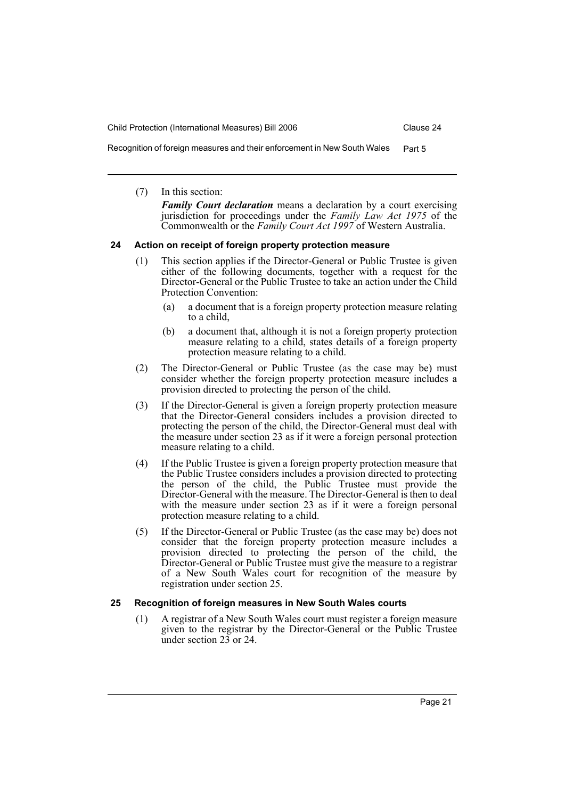Child Protection (International Measures) Bill 2006 Communication Clause 24

Recognition of foreign measures and their enforcement in New South Wales Part 5

(7) In this section:

*Family Court declaration* means a declaration by a court exercising jurisdiction for proceedings under the *Family Law Act 1975* of the Commonwealth or the *Family Court Act 1997* of Western Australia.

#### **24 Action on receipt of foreign property protection measure**

- (1) This section applies if the Director-General or Public Trustee is given either of the following documents, together with a request for the Director-General or the Public Trustee to take an action under the Child Protection Convention:
	- (a) a document that is a foreign property protection measure relating to a child,
	- (b) a document that, although it is not a foreign property protection measure relating to a child, states details of a foreign property protection measure relating to a child.
- (2) The Director-General or Public Trustee (as the case may be) must consider whether the foreign property protection measure includes a provision directed to protecting the person of the child.
- (3) If the Director-General is given a foreign property protection measure that the Director-General considers includes a provision directed to protecting the person of the child, the Director-General must deal with the measure under section 23 as if it were a foreign personal protection measure relating to a child.
- (4) If the Public Trustee is given a foreign property protection measure that the Public Trustee considers includes a provision directed to protecting the person of the child, the Public Trustee must provide the Director-General with the measure. The Director-General is then to deal with the measure under section 23 as if it were a foreign personal protection measure relating to a child.
- (5) If the Director-General or Public Trustee (as the case may be) does not consider that the foreign property protection measure includes a provision directed to protecting the person of the child, the Director-General or Public Trustee must give the measure to a registrar of a New South Wales court for recognition of the measure by registration under section 25.

#### **25 Recognition of foreign measures in New South Wales courts**

(1) A registrar of a New South Wales court must register a foreign measure given to the registrar by the Director-General or the Public Trustee under section 23 or 24.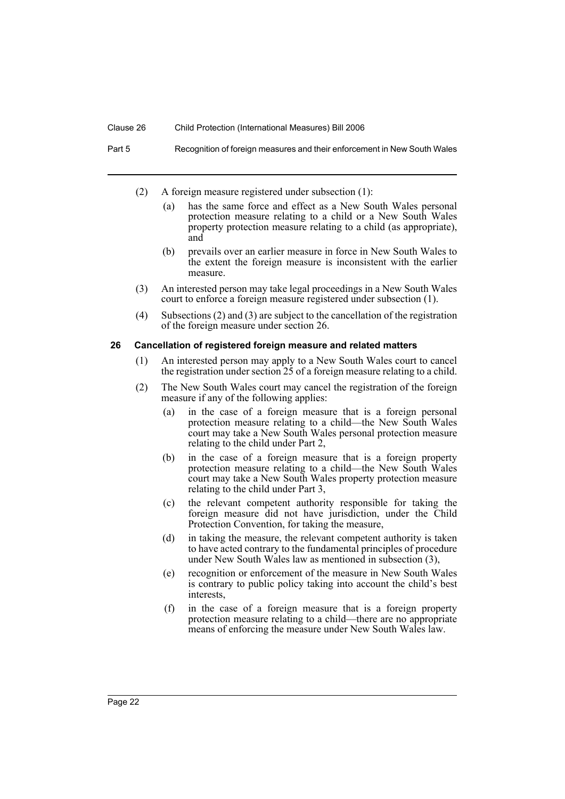Part 5 Recognition of foreign measures and their enforcement in New South Wales

- (2) A foreign measure registered under subsection (1):
	- (a) has the same force and effect as a New South Wales personal protection measure relating to a child or a New South Wales property protection measure relating to a child (as appropriate), and
	- (b) prevails over an earlier measure in force in New South Wales to the extent the foreign measure is inconsistent with the earlier measure.
- (3) An interested person may take legal proceedings in a New South Wales court to enforce a foreign measure registered under subsection (1).
- (4) Subsections (2) and (3) are subject to the cancellation of the registration of the foreign measure under section 26.

#### **26 Cancellation of registered foreign measure and related matters**

- (1) An interested person may apply to a New South Wales court to cancel the registration under section 25 of a foreign measure relating to a child.
- (2) The New South Wales court may cancel the registration of the foreign measure if any of the following applies:
	- (a) in the case of a foreign measure that is a foreign personal protection measure relating to a child—the New South Wales court may take a New South Wales personal protection measure relating to the child under Part 2,
	- (b) in the case of a foreign measure that is a foreign property protection measure relating to a child—the New South Wales court may take a New South Wales property protection measure relating to the child under Part 3,
	- (c) the relevant competent authority responsible for taking the foreign measure did not have jurisdiction, under the Child Protection Convention, for taking the measure,
	- (d) in taking the measure, the relevant competent authority is taken to have acted contrary to the fundamental principles of procedure under New South Wales law as mentioned in subsection (3),
	- (e) recognition or enforcement of the measure in New South Wales is contrary to public policy taking into account the child's best interests,
	- (f) in the case of a foreign measure that is a foreign property protection measure relating to a child—there are no appropriate means of enforcing the measure under New South Wales law.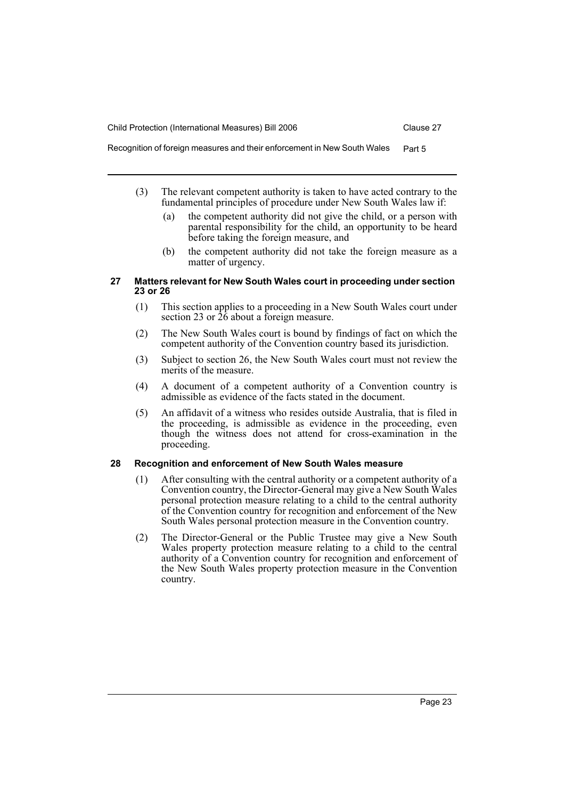#### Recognition of foreign measures and their enforcement in New South Wales Part 5

- (3) The relevant competent authority is taken to have acted contrary to the fundamental principles of procedure under New South Wales law if:
	- (a) the competent authority did not give the child, or a person with parental responsibility for the child, an opportunity to be heard before taking the foreign measure, and
	- (b) the competent authority did not take the foreign measure as a matter of urgency.

#### **27 Matters relevant for New South Wales court in proceeding under section 23 or 26**

- (1) This section applies to a proceeding in a New South Wales court under section 23 or  $2\overline{6}$  about a foreign measure.
- (2) The New South Wales court is bound by findings of fact on which the competent authority of the Convention country based its jurisdiction.
- (3) Subject to section 26, the New South Wales court must not review the merits of the measure.
- (4) A document of a competent authority of a Convention country is admissible as evidence of the facts stated in the document.
- (5) An affidavit of a witness who resides outside Australia, that is filed in the proceeding, is admissible as evidence in the proceeding, even though the witness does not attend for cross-examination in the proceeding.

#### **28 Recognition and enforcement of New South Wales measure**

- (1) After consulting with the central authority or a competent authority of a Convention country, the Director-General may give a New South Wales personal protection measure relating to a child to the central authority of the Convention country for recognition and enforcement of the New South Wales personal protection measure in the Convention country.
- (2) The Director-General or the Public Trustee may give a New South Wales property protection measure relating to a child to the central authority of a Convention country for recognition and enforcement of the New South Wales property protection measure in the Convention country.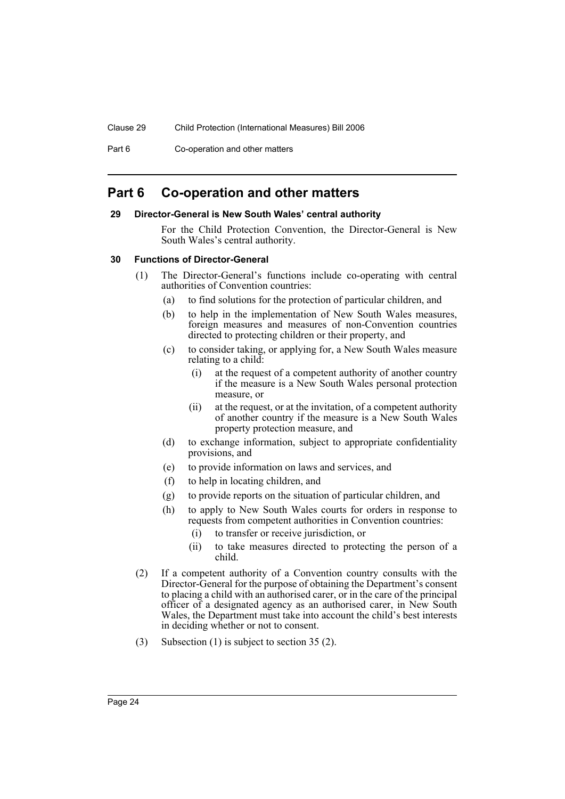Part 6 Co-operation and other matters

### **Part 6 Co-operation and other matters**

#### **29 Director-General is New South Wales' central authority**

For the Child Protection Convention, the Director-General is New South Wales's central authority.

#### **30 Functions of Director-General**

- (1) The Director-General's functions include co-operating with central authorities of Convention countries:
	- (a) to find solutions for the protection of particular children, and
	- (b) to help in the implementation of New South Wales measures, foreign measures and measures of non-Convention countries directed to protecting children or their property, and
	- (c) to consider taking, or applying for, a New South Wales measure relating to a child:
		- (i) at the request of a competent authority of another country if the measure is a New South Wales personal protection measure, or
		- (ii) at the request, or at the invitation, of a competent authority of another country if the measure is a New South Wales property protection measure, and
	- (d) to exchange information, subject to appropriate confidentiality provisions, and
	- (e) to provide information on laws and services, and
	- (f) to help in locating children, and
	- (g) to provide reports on the situation of particular children, and
	- (h) to apply to New South Wales courts for orders in response to requests from competent authorities in Convention countries:
		- (i) to transfer or receive jurisdiction, or
		- (ii) to take measures directed to protecting the person of a child.
- (2) If a competent authority of a Convention country consults with the Director-General for the purpose of obtaining the Department's consent to placing a child with an authorised carer, or in the care of the principal officer of a designated agency as an authorised carer, in New South Wales, the Department must take into account the child's best interests in deciding whether or not to consent.
- (3) Subsection (1) is subject to section 35 (2).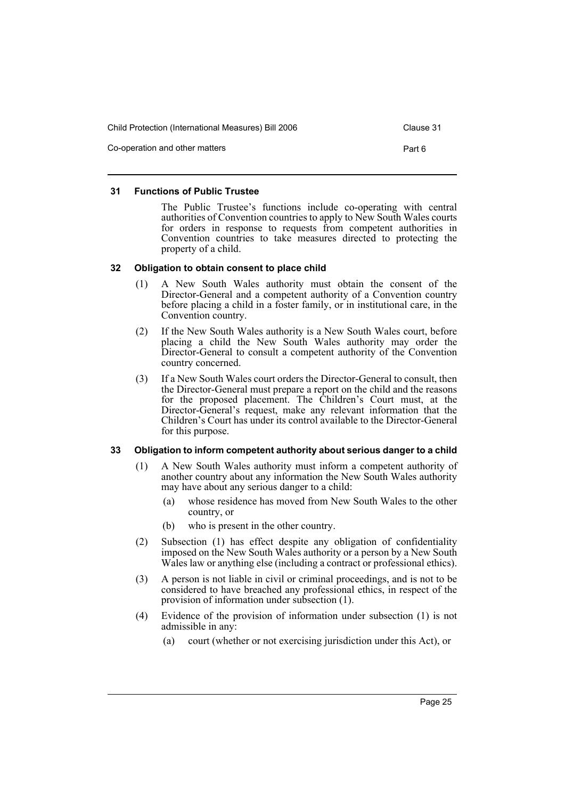Child Protection (International Measures) Bill 2006 Clause 31

Co-operation and other matters **Part 6** Part 6

#### **31 Functions of Public Trustee**

The Public Trustee's functions include co-operating with central authorities of Convention countries to apply to New South Wales courts for orders in response to requests from competent authorities in Convention countries to take measures directed to protecting the property of a child.

#### **32 Obligation to obtain consent to place child**

- (1) A New South Wales authority must obtain the consent of the Director-General and a competent authority of a Convention country before placing a child in a foster family, or in institutional care, in the Convention country.
- (2) If the New South Wales authority is a New South Wales court, before placing a child the New South Wales authority may order the Director-General to consult a competent authority of the Convention country concerned.
- (3) If a New South Wales court orders the Director-General to consult, then the Director-General must prepare a report on the child and the reasons for the proposed placement. The Children's Court must, at the Director-General's request, make any relevant information that the Children's Court has under its control available to the Director-General for this purpose.

#### **33 Obligation to inform competent authority about serious danger to a child**

- (1) A New South Wales authority must inform a competent authority of another country about any information the New South Wales authority may have about any serious danger to a child:
	- (a) whose residence has moved from New South Wales to the other country, or
	- (b) who is present in the other country.
- (2) Subsection (1) has effect despite any obligation of confidentiality imposed on the New South Wales authority or a person by a New South Wales law or anything else (including a contract or professional ethics).
- (3) A person is not liable in civil or criminal proceedings, and is not to be considered to have breached any professional ethics, in respect of the provision of information under subsection (1).
- (4) Evidence of the provision of information under subsection (1) is not admissible in any:
	- (a) court (whether or not exercising jurisdiction under this Act), or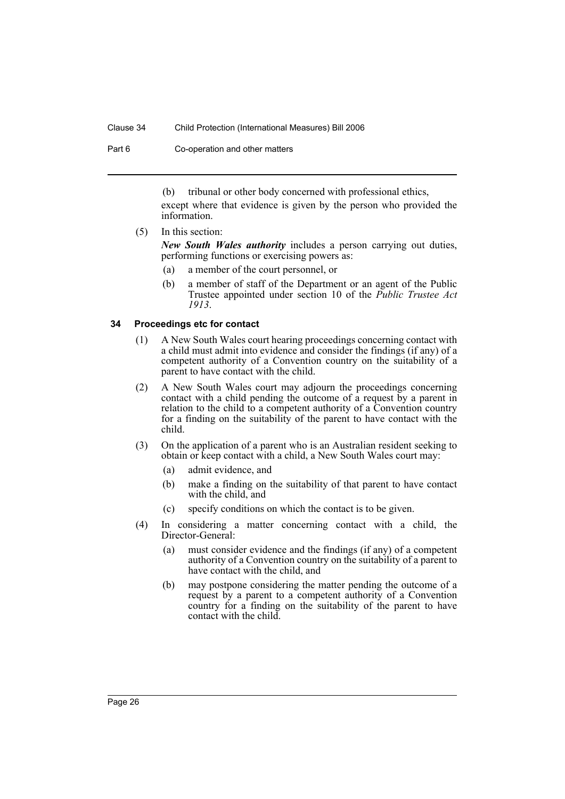Part 6 Co-operation and other matters

(b) tribunal or other body concerned with professional ethics, except where that evidence is given by the person who provided the information.

(5) In this section:

*New South Wales authority* includes a person carrying out duties, performing functions or exercising powers as:

- (a) a member of the court personnel, or
- (b) a member of staff of the Department or an agent of the Public Trustee appointed under section 10 of the *Public Trustee Act 1913*.

#### **34 Proceedings etc for contact**

- (1) A New South Wales court hearing proceedings concerning contact with a child must admit into evidence and consider the findings (if any) of a competent authority of a Convention country on the suitability of a parent to have contact with the child.
- (2) A New South Wales court may adjourn the proceedings concerning contact with a child pending the outcome of a request by a parent in relation to the child to a competent authority of a Convention country for a finding on the suitability of the parent to have contact with the child.
- (3) On the application of a parent who is an Australian resident seeking to obtain or keep contact with a child, a New South Wales court may:
	- (a) admit evidence, and
	- (b) make a finding on the suitability of that parent to have contact with the child, and
	- (c) specify conditions on which the contact is to be given.
- (4) In considering a matter concerning contact with a child, the Director-General:
	- (a) must consider evidence and the findings (if any) of a competent authority of a Convention country on the suitability of a parent to have contact with the child, and
	- (b) may postpone considering the matter pending the outcome of a request by a parent to a competent authority of a Convention country for a finding on the suitability of the parent to have contact with the child.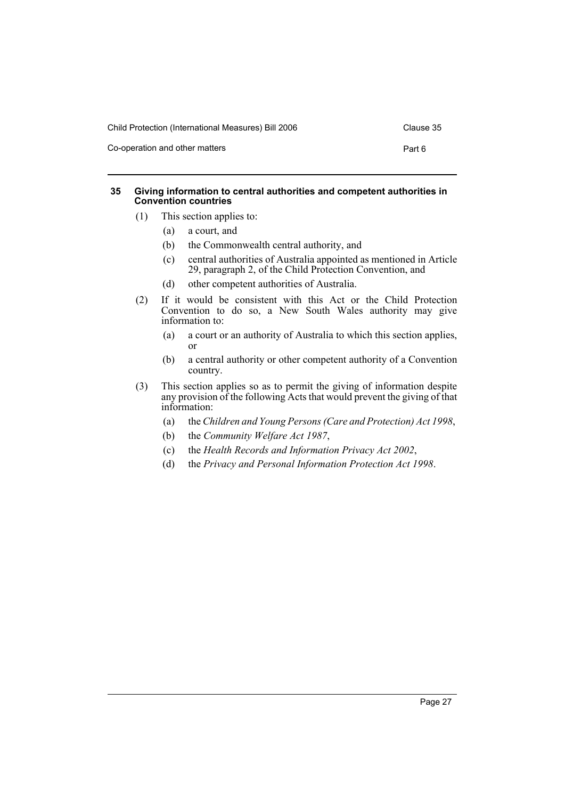| Child Protection (International Measures) Bill 2006 |  |
|-----------------------------------------------------|--|
|-----------------------------------------------------|--|

Co-operation and other matters **Part 6** 

#### **35 Giving information to central authorities and competent authorities in Convention countries**

- (1) This section applies to:
	- (a) a court, and
	- (b) the Commonwealth central authority, and
	- (c) central authorities of Australia appointed as mentioned in Article 29, paragraph 2, of the Child Protection Convention, and
	- (d) other competent authorities of Australia.
- (2) If it would be consistent with this Act or the Child Protection Convention to do so, a New South Wales authority may give information to:
	- (a) a court or an authority of Australia to which this section applies, or
	- (b) a central authority or other competent authority of a Convention country.
- (3) This section applies so as to permit the giving of information despite any provision of the following Acts that would prevent the giving of that information:
	- (a) the *Children and Young Persons (Care and Protection) Act 1998*,
	- (b) the *Community Welfare Act 1987*,
	- (c) the *Health Records and Information Privacy Act 2002*,
	- (d) the *Privacy and Personal Information Protection Act 1998*.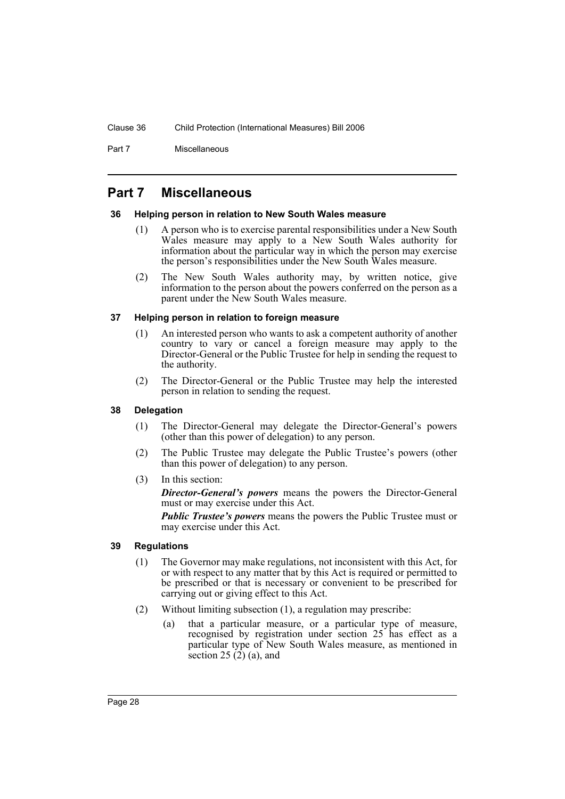Part 7 Miscellaneous

### **Part 7 Miscellaneous**

#### **36 Helping person in relation to New South Wales measure**

- (1) A person who is to exercise parental responsibilities under a New South Wales measure may apply to a New South Wales authority for information about the particular way in which the person may exercise the person's responsibilities under the New South Wales measure.
- (2) The New South Wales authority may, by written notice, give information to the person about the powers conferred on the person as a parent under the New South Wales measure.

#### **37 Helping person in relation to foreign measure**

- (1) An interested person who wants to ask a competent authority of another country to vary or cancel a foreign measure may apply to the Director-General or the Public Trustee for help in sending the request to the authority.
- (2) The Director-General or the Public Trustee may help the interested person in relation to sending the request.

#### **38 Delegation**

- (1) The Director-General may delegate the Director-General's powers (other than this power of delegation) to any person.
- (2) The Public Trustee may delegate the Public Trustee's powers (other than this power of delegation) to any person.
- (3) In this section:

*Director-General's powers* means the powers the Director-General must or may exercise under this Act.

*Public Trustee's powers* means the powers the Public Trustee must or may exercise under this Act.

#### **39 Regulations**

- (1) The Governor may make regulations, not inconsistent with this Act, for or with respect to any matter that by this Act is required or permitted to be prescribed or that is necessary or convenient to be prescribed for carrying out or giving effect to this Act.
- (2) Without limiting subsection (1), a regulation may prescribe:
	- (a) that a particular measure, or a particular type of measure, recognised by registration under section 25 has effect as a particular type of New South Wales measure, as mentioned in section 25 $(2)$  (a), and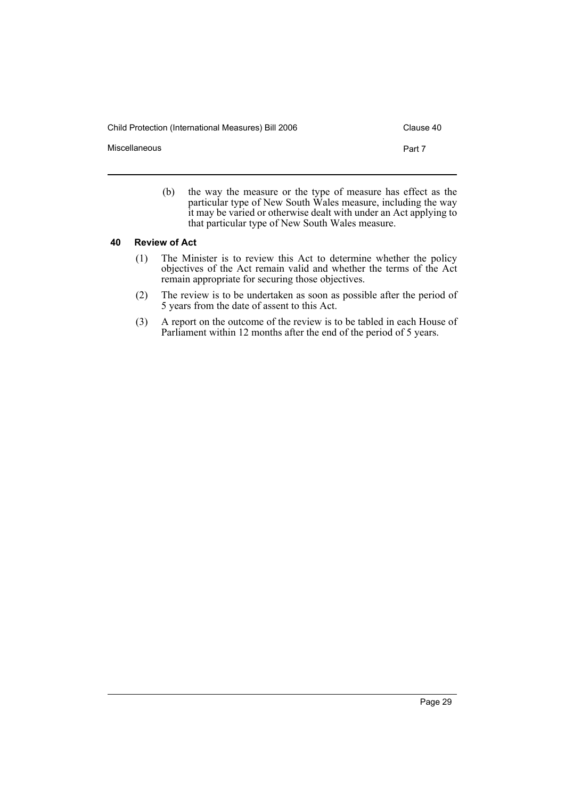Child Protection (International Measures) Bill 2006 Clause 40

Miscellaneous **Part 7** 

(b) the way the measure or the type of measure has effect as the particular type of New South Wales measure, including the way it may be varied or otherwise dealt with under an Act applying to that particular type of New South Wales measure.

#### **40 Review of Act**

- (1) The Minister is to review this Act to determine whether the policy objectives of the Act remain valid and whether the terms of the Act remain appropriate for securing those objectives.
- (2) The review is to be undertaken as soon as possible after the period of 5 years from the date of assent to this Act.
- (3) A report on the outcome of the review is to be tabled in each House of Parliament within 12 months after the end of the period of 5 years.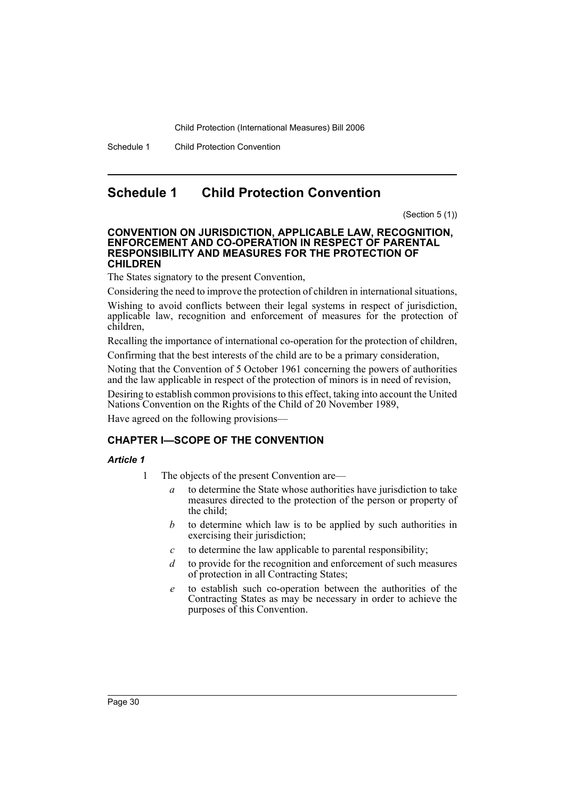Schedule 1 Child Protection Convention

### **Schedule 1 Child Protection Convention**

(Section 5 (1))

#### **CONVENTION ON JURISDICTION, APPLICABLE LAW, RECOGNITION, ENFORCEMENT AND CO-OPERATION IN RESPECT OF PARENTAL RESPONSIBILITY AND MEASURES FOR THE PROTECTION OF CHILDREN**

The States signatory to the present Convention,

Considering the need to improve the protection of children in international situations,

Wishing to avoid conflicts between their legal systems in respect of jurisdiction, applicable law, recognition and enforcement of measures for the protection of children,

Recalling the importance of international co-operation for the protection of children,

Confirming that the best interests of the child are to be a primary consideration,

Noting that the Convention of 5 October 1961 concerning the powers of authorities and the law applicable in respect of the protection of minors is in need of revision,

Desiring to establish common provisions to this effect, taking into account the United Nations Convention on the Rights of the Child of 20 November 1989,

Have agreed on the following provisions—

### **CHAPTER I—SCOPE OF THE CONVENTION**

- 1 The objects of the present Convention are
	- *a* to determine the State whose authorities have jurisdiction to take measures directed to the protection of the person or property of the child;
	- *b* to determine which law is to be applied by such authorities in exercising their jurisdiction:
	- *c* to determine the law applicable to parental responsibility;
	- *d* to provide for the recognition and enforcement of such measures of protection in all Contracting States;
	- *e* to establish such co-operation between the authorities of the Contracting States as may be necessary in order to achieve the purposes of this Convention.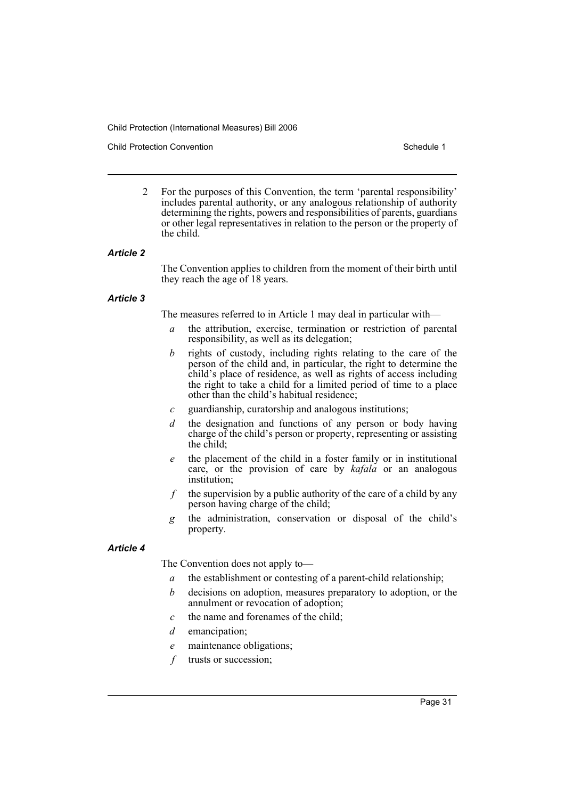Child Protection Convention Schedule 1 and Schedule 1 and Schedule 1 and Schedule 1 and Schedule 1 and Schedule 1

2 For the purposes of this Convention, the term 'parental responsibility' includes parental authority, or any analogous relationship of authority determining the rights, powers and responsibilities of parents, guardians or other legal representatives in relation to the person or the property of the child.

#### *Article 2*

The Convention applies to children from the moment of their birth until they reach the age of 18 years.

#### *Article 3*

The measures referred to in Article 1 may deal in particular with—

- *a* the attribution, exercise, termination or restriction of parental responsibility, as well as its delegation;
- *b* rights of custody, including rights relating to the care of the person of the child and, in particular, the right to determine the child's place of residence, as well as rights of access including the right to take a child for a limited period of time to a place other than the child's habitual residence;
- *c* guardianship, curatorship and analogous institutions;
- *d* the designation and functions of any person or body having charge of the child's person or property, representing or assisting the child;
- *e* the placement of the child in a foster family or in institutional care, or the provision of care by *kafala* or an analogous institution;
- *f* the supervision by a public authority of the care of a child by any person having charge of the child;
- *g* the administration, conservation or disposal of the child's property.

#### *Article 4*

The Convention does not apply to—

- *a* the establishment or contesting of a parent-child relationship;
- *b* decisions on adoption, measures preparatory to adoption, or the annulment or revocation of adoption;
- *c* the name and forenames of the child;
- *d* emancipation;
- *e* maintenance obligations;
- *f* trusts or succession;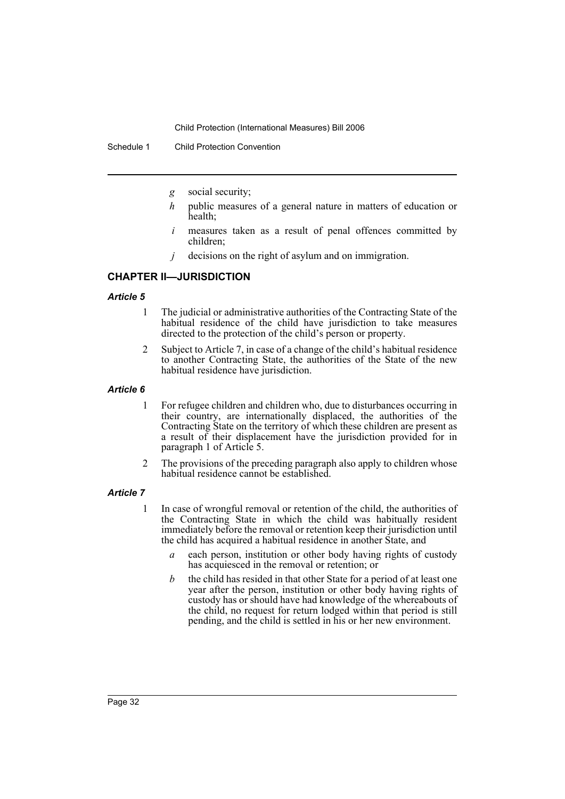Schedule 1 Child Protection Convention

- *g* social security;
- *h* public measures of a general nature in matters of education or health;
- *i* measures taken as a result of penal offences committed by children;
- *j* decisions on the right of asylum and on immigration.

#### **CHAPTER II—JURISDICTION**

#### *Article 5*

- 1 The judicial or administrative authorities of the Contracting State of the habitual residence of the child have jurisdiction to take measures directed to the protection of the child's person or property.
- 2 Subject to Article 7, in case of a change of the child's habitual residence to another Contracting State, the authorities of the State of the new habitual residence have jurisdiction.

#### *Article 6*

- 1 For refugee children and children who, due to disturbances occurring in their country, are internationally displaced, the authorities of the Contracting State on the territory of which these children are present as a result of their displacement have the jurisdiction provided for in paragraph 1 of Article 5.
- 2 The provisions of the preceding paragraph also apply to children whose habitual residence cannot be established.

- 1 In case of wrongful removal or retention of the child, the authorities of the Contracting State in which the child was habitually resident immediately before the removal or retention keep their jurisdiction until the child has acquired a habitual residence in another State, and
	- *a* each person, institution or other body having rights of custody has acquiesced in the removal or retention; or
	- *b* the child has resided in that other State for a period of at least one year after the person, institution or other body having rights of custody has or should have had knowledge of the whereabouts of the child, no request for return lodged within that period is still pending, and the child is settled in his or her new environment.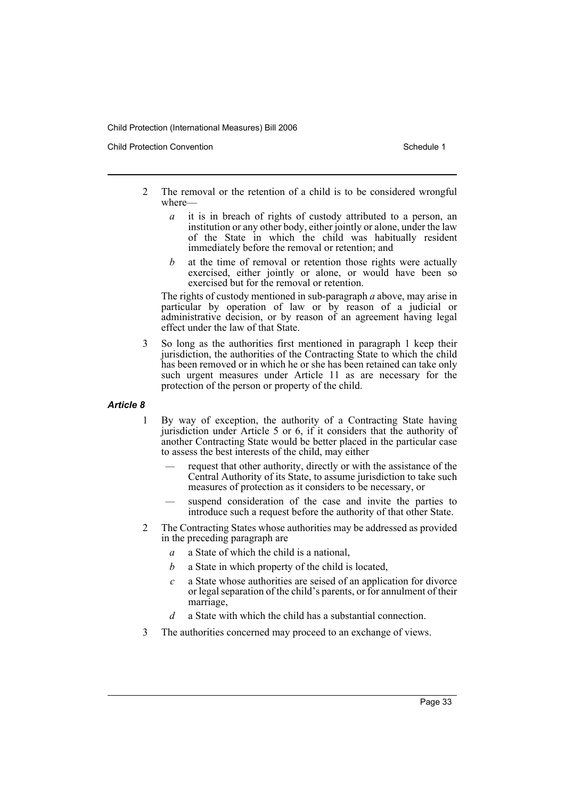Child Protection Convention Schedule 1 and Schedule 1 and Schedule 1 and Schedule 1 and Schedule 1 and Schedule 1

- 2 The removal or the retention of a child is to be considered wrongful where
	- *a* it is in breach of rights of custody attributed to a person, an institution or any other body, either jointly or alone, under the law of the State in which the child was habitually resident immediately before the removal or retention; and
	- *b* at the time of removal or retention those rights were actually exercised, either jointly or alone, or would have been so exercised but for the removal or retention.

The rights of custody mentioned in sub-paragraph *a* above, may arise in particular by operation of law or by reason of a judicial or administrative decision, or by reason of an agreement having legal effect under the law of that State.

3 So long as the authorities first mentioned in paragraph 1 keep their jurisdiction, the authorities of the Contracting State to which the child has been removed or in which he or she has been retained can take only such urgent measures under Article 11 as are necessary for the protection of the person or property of the child.

- 1 By way of exception, the authority of a Contracting State having jurisdiction under Article 5 or 6, if it considers that the authority of another Contracting State would be better placed in the particular case to assess the best interests of the child, may either
	- request that other authority, directly or with the assistance of the Central Authority of its State, to assume jurisdiction to take such measures of protection as it considers to be necessary, or
	- suspend consideration of the case and invite the parties to introduce such a request before the authority of that other State.
- 2 The Contracting States whose authorities may be addressed as provided in the preceding paragraph are
	- *a* a State of which the child is a national,
	- *b* a State in which property of the child is located,
	- *c* a State whose authorities are seised of an application for divorce or legal separation of the child's parents, or for annulment of their marriage,
	- *d* a State with which the child has a substantial connection.
- 3 The authorities concerned may proceed to an exchange of views.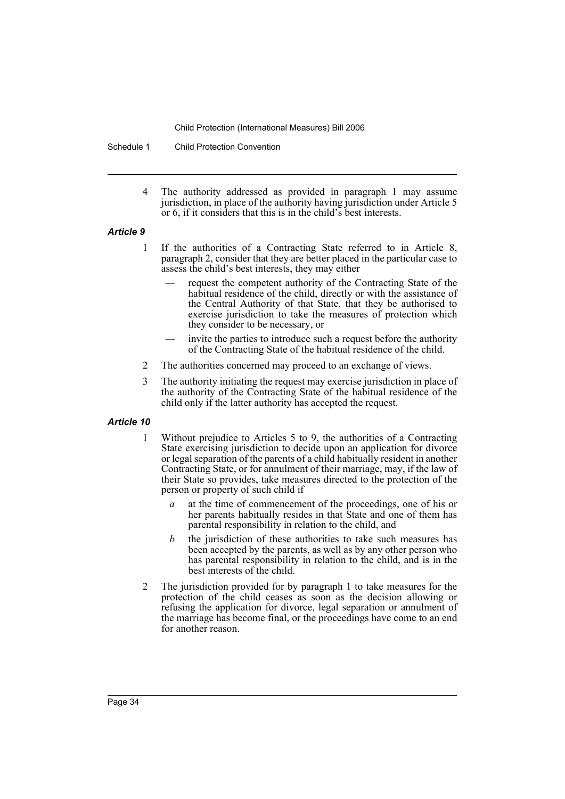Schedule 1 Child Protection Convention

4 The authority addressed as provided in paragraph 1 may assume jurisdiction, in place of the authority having jurisdiction under Article 5 or 6, if it considers that this is in the child's best interests.

#### *Article 9*

- 1 If the authorities of a Contracting State referred to in Article 8, paragraph 2, consider that they are better placed in the particular case to assess the child's best interests, they may either
	- request the competent authority of the Contracting State of the habitual residence of the child, directly or with the assistance of the Central Authority of that State, that they be authorised to exercise jurisdiction to take the measures of protection which they consider to be necessary, or
	- invite the parties to introduce such a request before the authority of the Contracting State of the habitual residence of the child.
- 2 The authorities concerned may proceed to an exchange of views.
- 3 The authority initiating the request may exercise jurisdiction in place of the authority of the Contracting State of the habitual residence of the child only if the latter authority has accepted the request.

- 1 Without prejudice to Articles 5 to 9, the authorities of a Contracting State exercising jurisdiction to decide upon an application for divorce or legal separation of the parents of a child habitually resident in another Contracting State, or for annulment of their marriage, may, if the law of their State so provides, take measures directed to the protection of the person or property of such child if
	- *a* at the time of commencement of the proceedings, one of his or her parents habitually resides in that State and one of them has parental responsibility in relation to the child, and
	- *b* the jurisdiction of these authorities to take such measures has been accepted by the parents, as well as by any other person who has parental responsibility in relation to the child, and is in the best interests of the child.
- 2 The jurisdiction provided for by paragraph 1 to take measures for the protection of the child ceases as soon as the decision allowing or refusing the application for divorce, legal separation or annulment of the marriage has become final, or the proceedings have come to an end for another reason.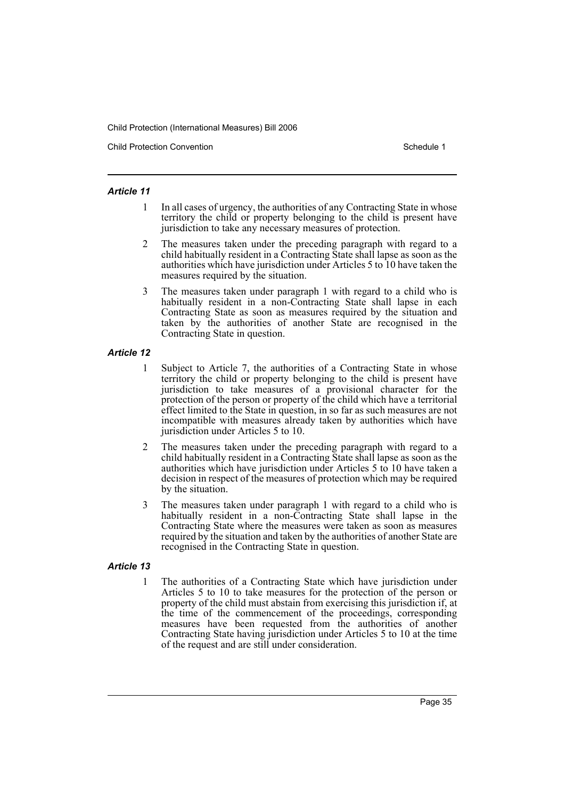Child Protection Convention Schedule 1 and Schedule 1 and Schedule 1 and Schedule 1 and Schedule 1 and Schedule 1

#### *Article 11*

- 1 In all cases of urgency, the authorities of any Contracting State in whose territory the child or property belonging to the child is present have jurisdiction to take any necessary measures of protection.
- 2 The measures taken under the preceding paragraph with regard to a child habitually resident in a Contracting State shall lapse as soon as the authorities which have jurisdiction under Articles 5 to 10 have taken the measures required by the situation.
- 3 The measures taken under paragraph 1 with regard to a child who is habitually resident in a non-Contracting State shall lapse in each Contracting State as soon as measures required by the situation and taken by the authorities of another State are recognised in the Contracting State in question.

#### *Article 12*

- 1 Subject to Article 7, the authorities of a Contracting State in whose territory the child or property belonging to the child is present have jurisdiction to take measures of a provisional character for the protection of the person or property of the child which have a territorial effect limited to the State in question, in so far as such measures are not incompatible with measures already taken by authorities which have jurisdiction under Articles 5 to 10.
- 2 The measures taken under the preceding paragraph with regard to a child habitually resident in a Contracting State shall lapse as soon as the authorities which have jurisdiction under Articles 5 to 10 have taken a decision in respect of the measures of protection which may be required by the situation.
- 3 The measures taken under paragraph 1 with regard to a child who is habitually resident in a non-Contracting State shall lapse in the Contracting State where the measures were taken as soon as measures required by the situation and taken by the authorities of another State are recognised in the Contracting State in question.

#### *Article 13*

1 The authorities of a Contracting State which have jurisdiction under Articles 5 to 10 to take measures for the protection of the person or property of the child must abstain from exercising this jurisdiction if, at the time of the commencement of the proceedings, corresponding measures have been requested from the authorities of another Contracting State having jurisdiction under Articles 5 to 10 at the time of the request and are still under consideration.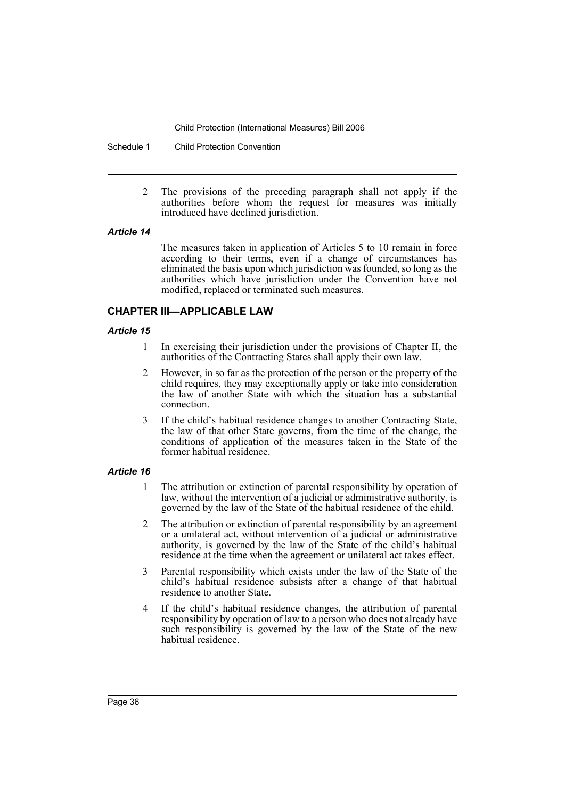Schedule 1 Child Protection Convention

2 The provisions of the preceding paragraph shall not apply if the authorities before whom the request for measures was initially introduced have declined jurisdiction.

#### *Article 14*

The measures taken in application of Articles 5 to 10 remain in force according to their terms, even if a change of circumstances has eliminated the basis upon which jurisdiction was founded, so long as the authorities which have jurisdiction under the Convention have not modified, replaced or terminated such measures.

#### **CHAPTER III—APPLICABLE LAW**

#### *Article 15*

- 1 In exercising their jurisdiction under the provisions of Chapter II, the authorities of the Contracting States shall apply their own law.
- 2 However, in so far as the protection of the person or the property of the child requires, they may exceptionally apply or take into consideration the law of another State with which the situation has a substantial connection.
- 3 If the child's habitual residence changes to another Contracting State, the law of that other State governs, from the time of the change, the conditions of application of the measures taken in the State of the former habitual residence.

- 1 The attribution or extinction of parental responsibility by operation of law, without the intervention of a judicial or administrative authority, is governed by the law of the State of the habitual residence of the child.
- 2 The attribution or extinction of parental responsibility by an agreement or a unilateral act, without intervention of a judicial or administrative authority, is governed by the law of the State of the child's habitual residence at the time when the agreement or unilateral act takes effect.
- 3 Parental responsibility which exists under the law of the State of the child's habitual residence subsists after a change of that habitual residence to another State.
- 4 If the child's habitual residence changes, the attribution of parental responsibility by operation of law to a person who does not already have such responsibility is governed by the law of the State of the new habitual residence.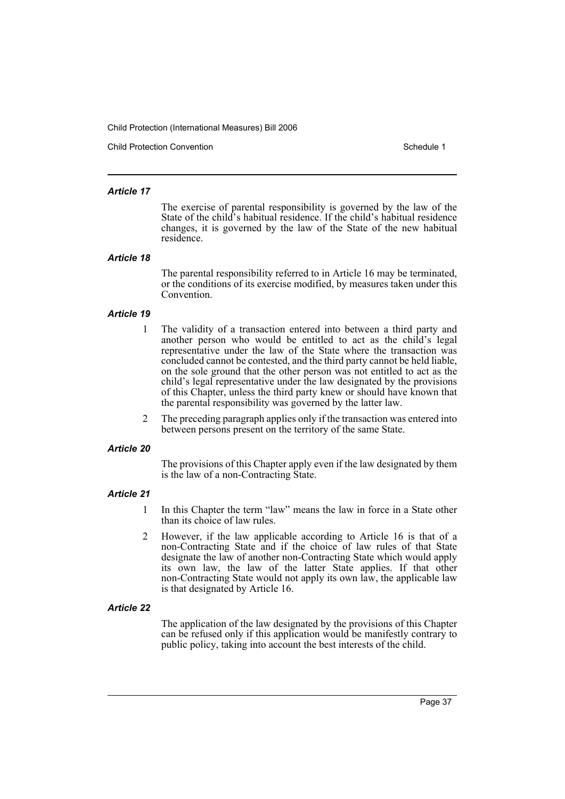Child Protection Convention Schedule 1 and Schedule 1 and Schedule 1 and Schedule 1 and Schedule 1 and Schedule 1

#### *Article 17*

The exercise of parental responsibility is governed by the law of the State of the child's habitual residence. If the child's habitual residence changes, it is governed by the law of the State of the new habitual residence.

#### *Article 18*

The parental responsibility referred to in Article 16 may be terminated, or the conditions of its exercise modified, by measures taken under this Convention.

#### *Article 19*

- 1 The validity of a transaction entered into between a third party and another person who would be entitled to act as the child's legal representative under the law of the State where the transaction was concluded cannot be contested, and the third party cannot be held liable, on the sole ground that the other person was not entitled to act as the child's legal representative under the law designated by the provisions of this Chapter, unless the third party knew or should have known that the parental responsibility was governed by the latter law.
- 2 The preceding paragraph applies only if the transaction was entered into between persons present on the territory of the same State.

#### *Article 20*

The provisions of this Chapter apply even if the law designated by them is the law of a non-Contracting State.

#### *Article 21*

- 1 In this Chapter the term "law" means the law in force in a State other than its choice of law rules.
- 2 However, if the law applicable according to Article 16 is that of a non-Contracting State and if the choice of law rules of that State designate the law of another non-Contracting State which would apply its own law, the law of the latter State applies. If that other non-Contracting State would not apply its own law, the applicable law is that designated by Article 16.

#### *Article 22*

The application of the law designated by the provisions of this Chapter can be refused only if this application would be manifestly contrary to public policy, taking into account the best interests of the child.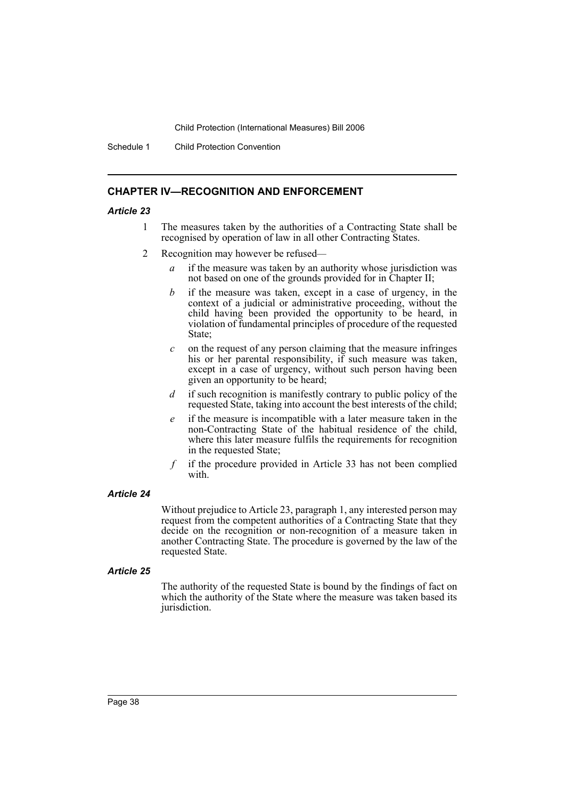Schedule 1 Child Protection Convention

#### **CHAPTER IV—RECOGNITION AND ENFORCEMENT**

#### *Article 23*

- 1 The measures taken by the authorities of a Contracting State shall be recognised by operation of law in all other Contracting States.
- 2 Recognition may however be refused
	- *a* if the measure was taken by an authority whose jurisdiction was not based on one of the grounds provided for in Chapter II;
	- *b* if the measure was taken, except in a case of urgency, in the context of a judicial or administrative proceeding, without the child having been provided the opportunity to be heard, in violation of fundamental principles of procedure of the requested State;
	- *c* on the request of any person claiming that the measure infringes his or her parental responsibility, if such measure was taken, except in a case of urgency, without such person having been given an opportunity to be heard;
	- *d* if such recognition is manifestly contrary to public policy of the requested State, taking into account the best interests of the child;
	- *e* if the measure is incompatible with a later measure taken in the non-Contracting State of the habitual residence of the child, where this later measure fulfils the requirements for recognition in the requested State;
	- *f* if the procedure provided in Article 33 has not been complied with.

#### *Article 24*

Without prejudice to Article 23, paragraph 1, any interested person may request from the competent authorities of a Contracting State that they decide on the recognition or non-recognition of a measure taken in another Contracting State. The procedure is governed by the law of the requested State.

#### *Article 25*

The authority of the requested State is bound by the findings of fact on which the authority of the State where the measure was taken based its jurisdiction.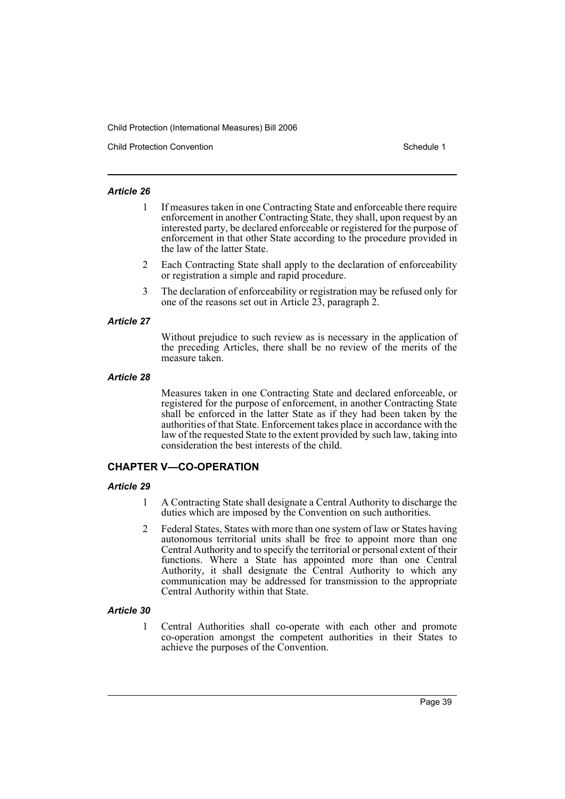Child Protection Convention Schedule 1 and Schedule 1 and Schedule 1 and Schedule 1 and Schedule 1 and Schedule 1

#### *Article 26*

- 1 If measures taken in one Contracting State and enforceable there require enforcement in another Contracting State, they shall, upon request by an interested party, be declared enforceable or registered for the purpose of enforcement in that other State according to the procedure provided in the law of the latter State.
- 2 Each Contracting State shall apply to the declaration of enforceability or registration a simple and rapid procedure.
- 3 The declaration of enforceability or registration may be refused only for one of the reasons set out in Article 23, paragraph 2.

#### *Article 27*

Without prejudice to such review as is necessary in the application of the preceding Articles, there shall be no review of the merits of the measure taken.

#### *Article 28*

Measures taken in one Contracting State and declared enforceable, or registered for the purpose of enforcement, in another Contracting State shall be enforced in the latter State as if they had been taken by the authorities of that State. Enforcement takes place in accordance with the law of the requested State to the extent provided by such law, taking into consideration the best interests of the child.

#### **CHAPTER V—CO-OPERATION**

#### *Article 29*

- 1 A Contracting State shall designate a Central Authority to discharge the duties which are imposed by the Convention on such authorities.
- 2 Federal States, States with more than one system of law or States having autonomous territorial units shall be free to appoint more than one Central Authority and to specify the territorial or personal extent of their functions. Where a State has appointed more than one Central Authority, it shall designate the Central Authority to which any communication may be addressed for transmission to the appropriate Central Authority within that State.

#### *Article 30*

1 Central Authorities shall co-operate with each other and promote co-operation amongst the competent authorities in their States to achieve the purposes of the Convention.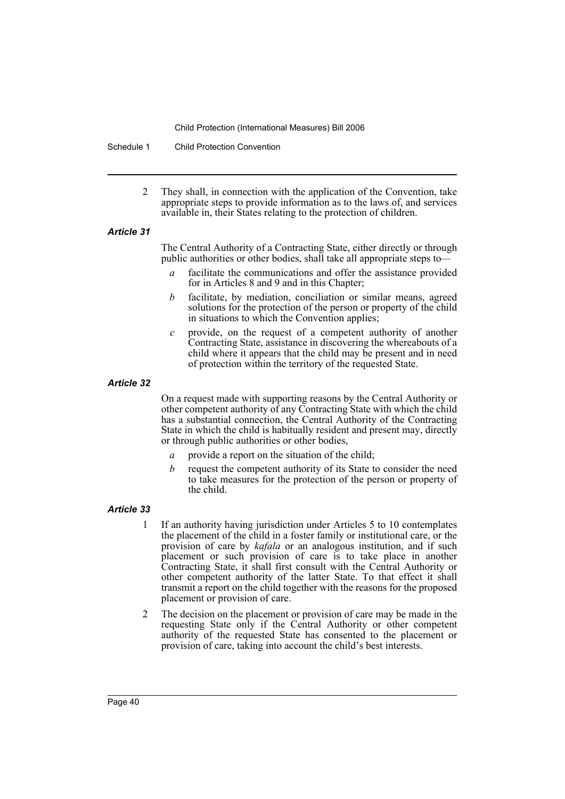Schedule 1 Child Protection Convention

2 They shall, in connection with the application of the Convention, take appropriate steps to provide information as to the laws of, and services available in, their States relating to the protection of children.

#### *Article 31*

The Central Authority of a Contracting State, either directly or through public authorities or other bodies, shall take all appropriate steps to*—*

- *a* facilitate the communications and offer the assistance provided for in Articles 8 and 9 and in this Chapter;
- *b* facilitate, by mediation, conciliation or similar means, agreed solutions for the protection of the person or property of the child in situations to which the Convention applies;
- *c* provide, on the request of a competent authority of another Contracting State, assistance in discovering the whereabouts of a child where it appears that the child may be present and in need of protection within the territory of the requested State.

#### *Article 32*

On a request made with supporting reasons by the Central Authority or other competent authority of any Contracting State with which the child has a substantial connection, the Central Authority of the Contracting State in which the child is habitually resident and present may, directly or through public authorities or other bodies,

- *a* provide a report on the situation of the child;
- *b* request the competent authority of its State to consider the need to take measures for the protection of the person or property of the child.

- 1 If an authority having jurisdiction under Articles 5 to 10 contemplates the placement of the child in a foster family or institutional care, or the provision of care by *kafala* or an analogous institution, and if such placement or such provision of care is to take place in another Contracting State, it shall first consult with the Central Authority or other competent authority of the latter State. To that effect it shall transmit a report on the child together with the reasons for the proposed placement or provision of care.
- 2 The decision on the placement or provision of care may be made in the requesting State only if the Central Authority or other competent authority of the requested State has consented to the placement or provision of care, taking into account the child's best interests.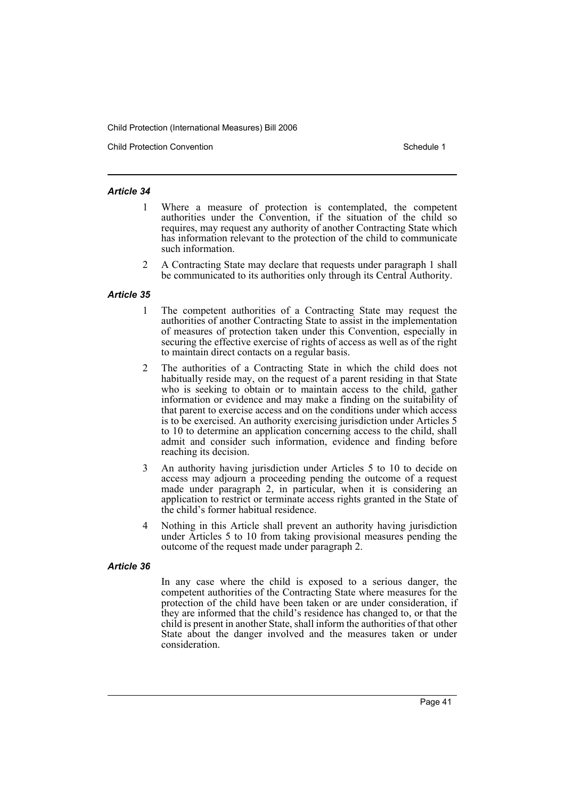Child Protection Convention Schedule 1 and Schedule 1 and Schedule 1 and Schedule 1 and Schedule 1 and Schedule 1

#### *Article 34*

- 1 Where a measure of protection is contemplated, the competent authorities under the Convention, if the situation of the child so requires, may request any authority of another Contracting State which has information relevant to the protection of the child to communicate such information.
- 2 A Contracting State may declare that requests under paragraph 1 shall be communicated to its authorities only through its Central Authority.

#### *Article 35*

- 1 The competent authorities of a Contracting State may request the authorities of another Contracting State to assist in the implementation of measures of protection taken under this Convention, especially in securing the effective exercise of rights of access as well as of the right to maintain direct contacts on a regular basis.
- 2 The authorities of a Contracting State in which the child does not habitually reside may, on the request of a parent residing in that State who is seeking to obtain or to maintain access to the child, gather information or evidence and may make a finding on the suitability of that parent to exercise access and on the conditions under which access is to be exercised. An authority exercising jurisdiction under Articles 5 to 10 to determine an application concerning access to the child, shall admit and consider such information, evidence and finding before reaching its decision.
- 3 An authority having jurisdiction under Articles 5 to 10 to decide on access may adjourn a proceeding pending the outcome of a request made under paragraph 2, in particular, when it is considering an application to restrict or terminate access rights granted in the State of the child's former habitual residence.
- 4 Nothing in this Article shall prevent an authority having jurisdiction under Articles 5 to 10 from taking provisional measures pending the outcome of the request made under paragraph 2.

#### *Article 36*

In any case where the child is exposed to a serious danger, the competent authorities of the Contracting State where measures for the protection of the child have been taken or are under consideration, if they are informed that the child's residence has changed to, or that the child is present in another State, shall inform the authorities of that other State about the danger involved and the measures taken or under consideration.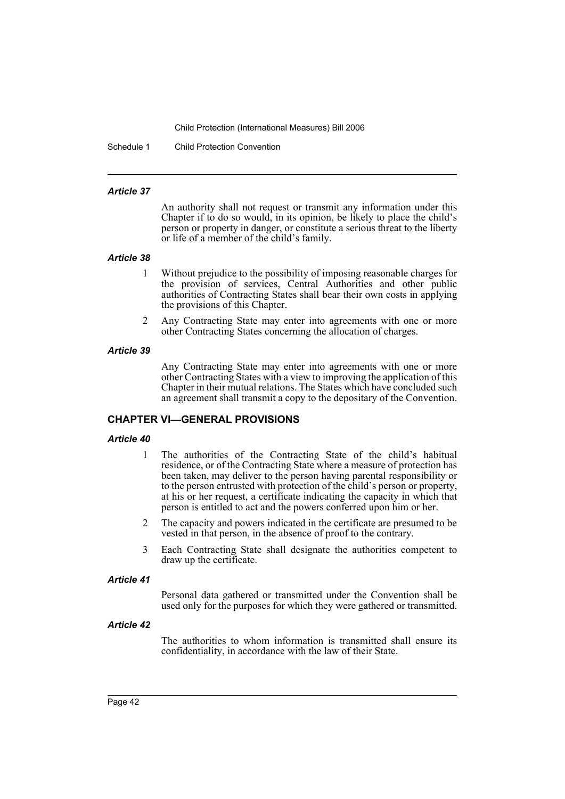Schedule 1 Child Protection Convention

#### *Article 37*

An authority shall not request or transmit any information under this Chapter if to do so would, in its opinion, be likely to place the child's person or property in danger, or constitute a serious threat to the liberty or life of a member of the child's family.

#### *Article 38*

- 1 Without prejudice to the possibility of imposing reasonable charges for the provision of services, Central Authorities and other public authorities of Contracting States shall bear their own costs in applying the provisions of this Chapter.
- 2 Any Contracting State may enter into agreements with one or more other Contracting States concerning the allocation of charges.

#### *Article 39*

Any Contracting State may enter into agreements with one or more other Contracting States with a view to improving the application of this Chapter in their mutual relations. The States which have concluded such an agreement shall transmit a copy to the depositary of the Convention.

#### **CHAPTER VI—GENERAL PROVISIONS**

#### *Article 40*

- 1 The authorities of the Contracting State of the child's habitual residence, or of the Contracting State where a measure of protection has been taken, may deliver to the person having parental responsibility or to the person entrusted with protection of the child's person or property, at his or her request, a certificate indicating the capacity in which that person is entitled to act and the powers conferred upon him or her.
- 2 The capacity and powers indicated in the certificate are presumed to be vested in that person, in the absence of proof to the contrary.
- 3 Each Contracting State shall designate the authorities competent to draw up the certificate.

### *Article 41*

Personal data gathered or transmitted under the Convention shall be used only for the purposes for which they were gathered or transmitted.

#### *Article 42*

The authorities to whom information is transmitted shall ensure its confidentiality, in accordance with the law of their State.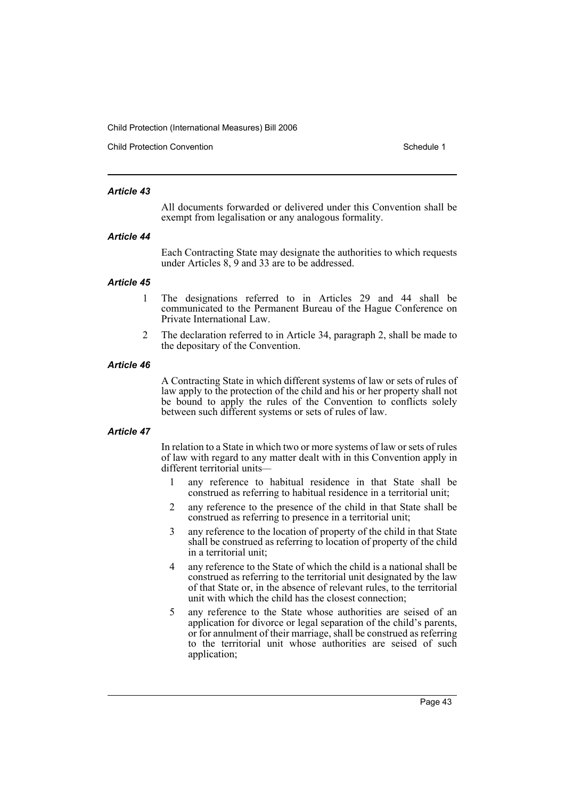Child Protection Convention Schedule 1 and Schedule 1 and Schedule 1 and Schedule 1 and Schedule 1 and Schedule 1

#### *Article 43*

All documents forwarded or delivered under this Convention shall be exempt from legalisation or any analogous formality.

#### *Article 44*

Each Contracting State may designate the authorities to which requests under Articles 8, 9 and 33 are to be addressed.

#### *Article 45*

- 1 The designations referred to in Articles 29 and 44 shall be communicated to the Permanent Bureau of the Hague Conference on Private International Law.
- 2 The declaration referred to in Article 34, paragraph 2, shall be made to the depositary of the Convention.

#### *Article 46*

A Contracting State in which different systems of law or sets of rules of law apply to the protection of the child and his or her property shall not be bound to apply the rules of the Convention to conflicts solely between such different systems or sets of rules of law.

#### *Article 47*

In relation to a State in which two or more systems of law or sets of rules of law with regard to any matter dealt with in this Convention apply in different territorial units*—*

- 1 any reference to habitual residence in that State shall be construed as referring to habitual residence in a territorial unit;
- 2 any reference to the presence of the child in that State shall be construed as referring to presence in a territorial unit;
- 3 any reference to the location of property of the child in that State shall be construed as referring to location of property of the child in a territorial unit;
- 4 any reference to the State of which the child is a national shall be construed as referring to the territorial unit designated by the law of that State or, in the absence of relevant rules, to the territorial unit with which the child has the closest connection;
- 5 any reference to the State whose authorities are seised of an application for divorce or legal separation of the child's parents, or for annulment of their marriage, shall be construed as referring to the territorial unit whose authorities are seised of such application;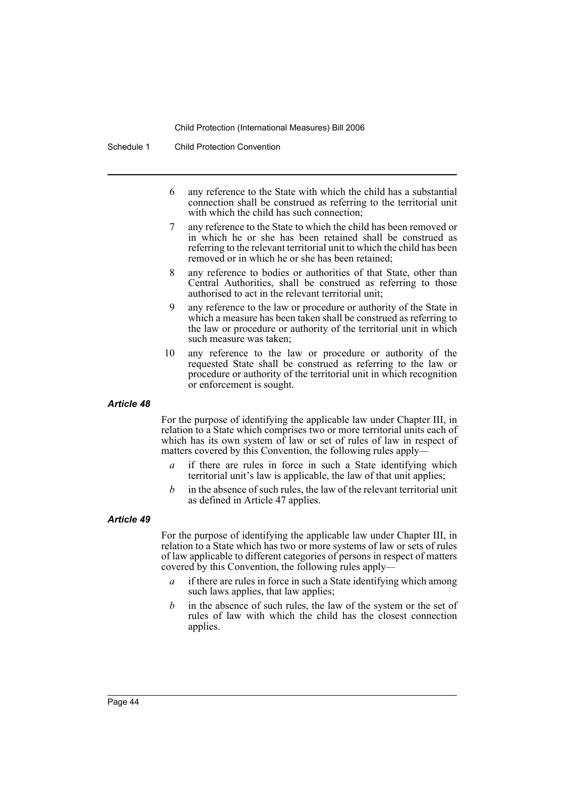Schedule 1 Child Protection Convention

- 6 any reference to the State with which the child has a substantial connection shall be construed as referring to the territorial unit with which the child has such connection;
- 7 any reference to the State to which the child has been removed or in which he or she has been retained shall be construed as referring to the relevant territorial unit to which the child has been removed or in which he or she has been retained;
- 8 any reference to bodies or authorities of that State, other than Central Authorities, shall be construed as referring to those authorised to act in the relevant territorial unit;
- 9 any reference to the law or procedure or authority of the State in which a measure has been taken shall be construed as referring to the law or procedure or authority of the territorial unit in which such measure was taken;
- 10 any reference to the law or procedure or authority of the requested State shall be construed as referring to the law or procedure or authority of the territorial unit in which recognition or enforcement is sought.

#### *Article 48*

For the purpose of identifying the applicable law under Chapter III, in relation to a State which comprises two or more territorial units each of which has its own system of law or set of rules of law in respect of matters covered by this Convention, the following rules apply*—*

- *a* if there are rules in force in such a State identifying which territorial unit's law is applicable, the law of that unit applies;
- *b* in the absence of such rules, the law of the relevant territorial unit as defined in Article 47 applies.

#### *Article 49*

For the purpose of identifying the applicable law under Chapter III, in relation to a State which has two or more systems of law or sets of rules of law applicable to different categories of persons in respect of matters covered by this Convention, the following rules apply*—*

- *a* if there are rules in force in such a State identifying which among such laws applies, that law applies;
- *b* in the absence of such rules, the law of the system or the set of rules of law with which the child has the closest connection applies.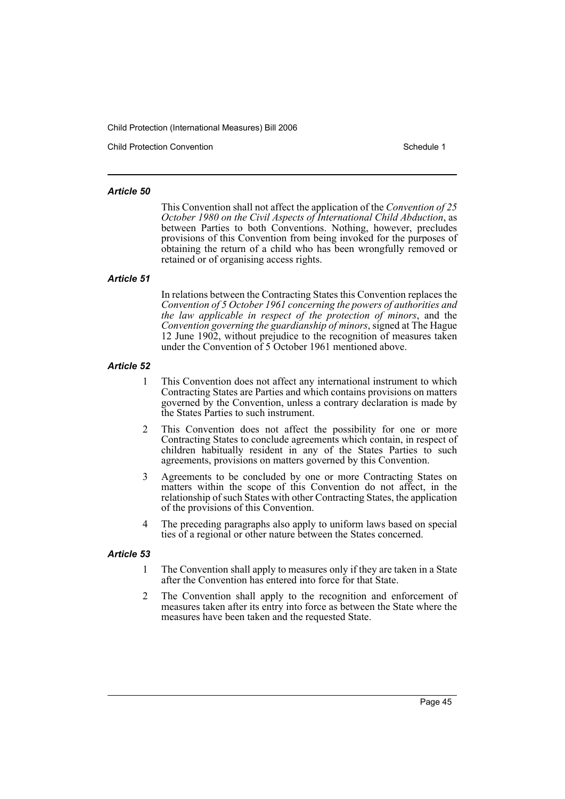Child Protection Convention Schedule 1 and Schedule 1 and Schedule 1 and Schedule 1 and Schedule 1 and Schedule 1

#### *Article 50*

This Convention shall not affect the application of the *Convention of 25 October 1980 on the Civil Aspects of International Child Abduction*, as between Parties to both Conventions. Nothing, however, precludes provisions of this Convention from being invoked for the purposes of obtaining the return of a child who has been wrongfully removed or retained or of organising access rights.

#### *Article 51*

In relations between the Contracting States this Convention replaces the *Convention of 5 October 1961 concerning the powers of authorities and the law applicable in respect of the protection of minors*, and the *Convention governing the guardianship of minors*, signed at The Hague 12 June 1902, without prejudice to the recognition of measures taken under the Convention of 5 October 1961 mentioned above.

#### *Article 52*

- 1 This Convention does not affect any international instrument to which Contracting States are Parties and which contains provisions on matters governed by the Convention, unless a contrary declaration is made by the States Parties to such instrument.
- 2 This Convention does not affect the possibility for one or more Contracting States to conclude agreements which contain, in respect of children habitually resident in any of the States Parties to such agreements, provisions on matters governed by this Convention.
- 3 Agreements to be concluded by one or more Contracting States on matters within the scope of this Convention do not affect, in the relationship of such States with other Contracting States, the application of the provisions of this Convention.
- 4 The preceding paragraphs also apply to uniform laws based on special ties of a regional or other nature between the States concerned.

- 1 The Convention shall apply to measures only if they are taken in a State after the Convention has entered into force for that State.
- 2 The Convention shall apply to the recognition and enforcement of measures taken after its entry into force as between the State where the measures have been taken and the requested State.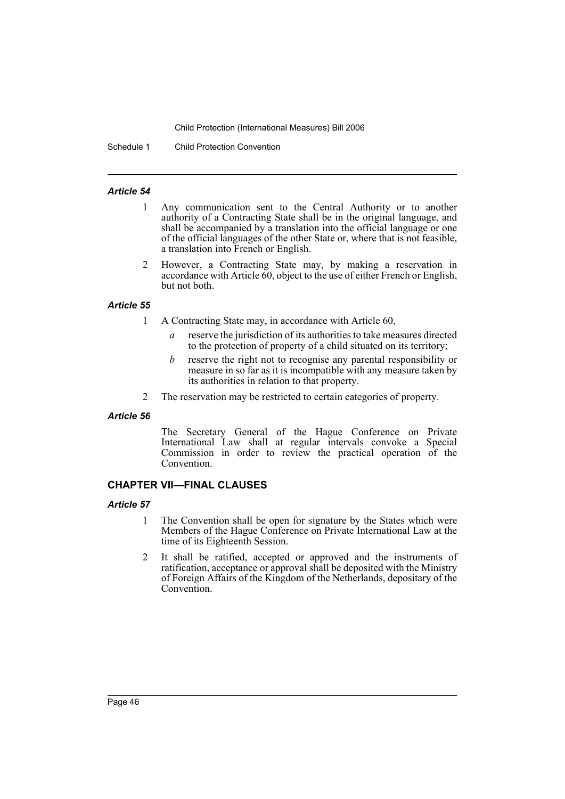Schedule 1 Child Protection Convention

#### *Article 54*

- 1 Any communication sent to the Central Authority or to another authority of a Contracting State shall be in the original language, and shall be accompanied by a translation into the official language or one of the official languages of the other State or, where that is not feasible, a translation into French or English.
- 2 However, a Contracting State may, by making a reservation in accordance with Article 60, object to the use of either French or English, but not both.

#### *Article 55*

- 1 A Contracting State may, in accordance with Article 60,
	- *a* reserve the jurisdiction of its authorities to take measures directed to the protection of property of a child situated on its territory;
	- *b* reserve the right not to recognise any parental responsibility or measure in so far as it is incompatible with any measure taken by its authorities in relation to that property.
- 2 The reservation may be restricted to certain categories of property.

#### *Article 56*

The Secretary General of the Hague Conference on Private International Law shall at regular intervals convoke a Special Commission in order to review the practical operation of the Convention.

#### **CHAPTER VII—FINAL CLAUSES**

- 1 The Convention shall be open for signature by the States which were Members of the Hague Conference on Private International Law at the time of its Eighteenth Session.
- 2 It shall be ratified, accepted or approved and the instruments of ratification, acceptance or approval shall be deposited with the Ministry of Foreign Affairs of the Kingdom of the Netherlands, depositary of the Convention.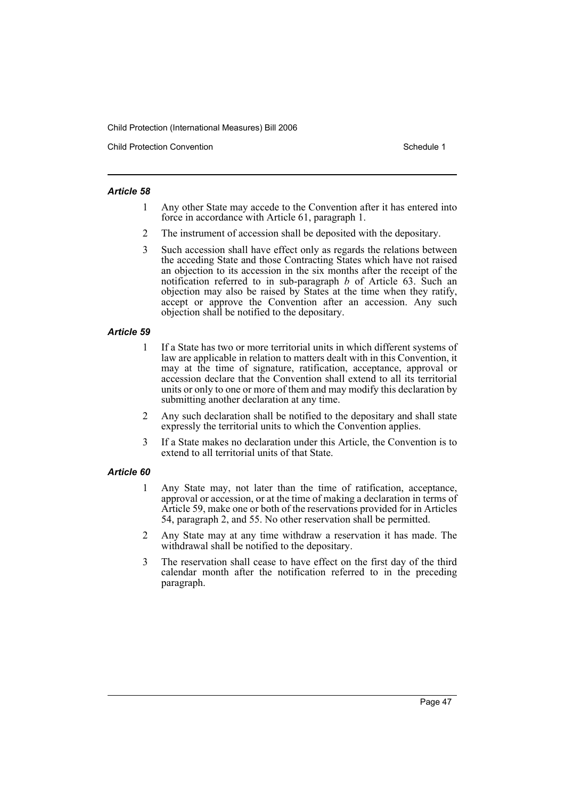Child Protection Convention Schedule 1 and Schedule 1 and Schedule 1 and Schedule 1 and Schedule 1 and Schedule 1

#### *Article 58*

- 1 Any other State may accede to the Convention after it has entered into force in accordance with Article 61, paragraph 1.
- 2 The instrument of accession shall be deposited with the depositary.
- 3 Such accession shall have effect only as regards the relations between the acceding State and those Contracting States which have not raised an objection to its accession in the six months after the receipt of the notification referred to in sub-paragraph *b* of Article 63. Such an objection may also be raised by States at the time when they ratify, accept or approve the Convention after an accession. Any such objection shall be notified to the depositary.

#### *Article 59*

- 1 If a State has two or more territorial units in which different systems of law are applicable in relation to matters dealt with in this Convention, it may at the time of signature, ratification, acceptance, approval or accession declare that the Convention shall extend to all its territorial units or only to one or more of them and may modify this declaration by submitting another declaration at any time.
- 2 Any such declaration shall be notified to the depositary and shall state expressly the territorial units to which the Convention applies.
- 3 If a State makes no declaration under this Article, the Convention is to extend to all territorial units of that State.

- 1 Any State may, not later than the time of ratification, acceptance, approval or accession, or at the time of making a declaration in terms of Article 59, make one or both of the reservations provided for in Articles 54, paragraph 2, and 55. No other reservation shall be permitted.
- 2 Any State may at any time withdraw a reservation it has made. The withdrawal shall be notified to the depositary.
- 3 The reservation shall cease to have effect on the first day of the third calendar month after the notification referred to in the preceding paragraph.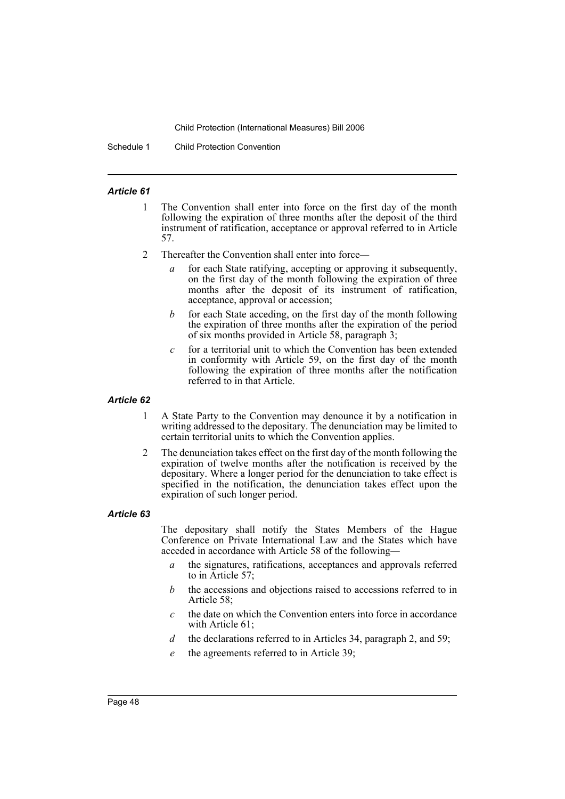Schedule 1 Child Protection Convention

#### *Article 61*

- 1 The Convention shall enter into force on the first day of the month following the expiration of three months after the deposit of the third instrument of ratification, acceptance or approval referred to in Article 57.
- 2 Thereafter the Convention shall enter into force
	- *a* for each State ratifying, accepting or approving it subsequently, on the first day of the month following the expiration of three months after the deposit of its instrument of ratification, acceptance, approval or accession;
	- *b* for each State acceding, on the first day of the month following the expiration of three months after the expiration of the period of six months provided in Article 58, paragraph 3;
	- *c* for a territorial unit to which the Convention has been extended in conformity with Article 59, on the first day of the month following the expiration of three months after the notification referred to in that Article.

#### *Article 62*

- 1 A State Party to the Convention may denounce it by a notification in writing addressed to the depositary. The denunciation may be limited to certain territorial units to which the Convention applies.
- 2 The denunciation takes effect on the first day of the month following the expiration of twelve months after the notification is received by the depositary. Where a longer period for the denunciation to take effect is specified in the notification, the denunciation takes effect upon the expiration of such longer period.

#### *Article 63*

The depositary shall notify the States Members of the Hague Conference on Private International Law and the States which have acceded in accordance with Article 58 of the following*—*

- *a* the signatures, ratifications, acceptances and approvals referred to in Article 57;
- *b* the accessions and objections raised to accessions referred to in Article 58;
- *c* the date on which the Convention enters into force in accordance with Article 61;
- *d* the declarations referred to in Articles 34, paragraph 2, and 59;
- *e* the agreements referred to in Article 39;